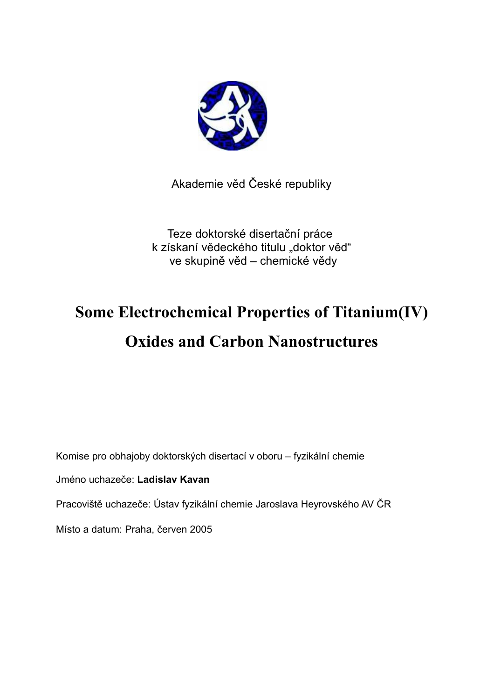

Akademie věd České republiky

Teze doktorské disertační práce k získaní vědeckého titulu "doktor věd" ve skupině věd – chemické vědy

# **Some Electrochemical Properties of Titanium(IV) Oxides and Carbon Nanostructures**

Komise pro obhajoby doktorských disertací v oboru – fyzikální chemie

Jméno uchazeče: **Ladislav Kavan**

Pracoviště uchazeče: Ústav fyzikální chemie Jaroslava Heyrovského AV ČR

Místo a datum: Praha, červen 2005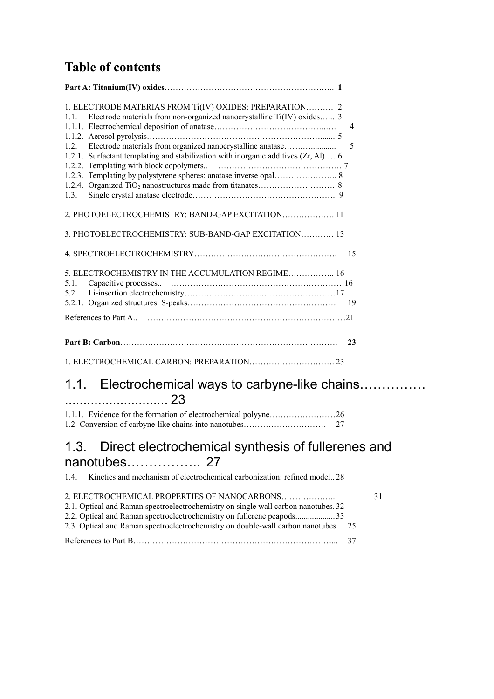## **Table of contents**

| 1. ELECTRODE MATERIAS FROM Ti(IV) OXIDES: PREPARATION 2<br>Electrode materials from non-organized nanocrystalline Ti(IV) oxides 3<br>11<br>Electrode materials from organized nanocrystalline anatase<br>12<br>1.2.1. Surfactant templating and stabilization with inorganic additives (Zr, Al) 6<br>1.3.<br>2. PHOTOELECTROCHEMISTRY: BAND-GAP EXCITATION 11 | $\overline{4}$<br>5 |
|---------------------------------------------------------------------------------------------------------------------------------------------------------------------------------------------------------------------------------------------------------------------------------------------------------------------------------------------------------------|---------------------|
| 3. PHOTOELECTROCHEMISTRY: SUB-BAND-GAP EXCITATION 13                                                                                                                                                                                                                                                                                                          |                     |
|                                                                                                                                                                                                                                                                                                                                                               | 15                  |
| 5. ELECTROCHEMISTRY IN THE ACCUMULATION REGIME 16<br>5.1.<br>5.2                                                                                                                                                                                                                                                                                              | 19                  |
|                                                                                                                                                                                                                                                                                                                                                               |                     |
|                                                                                                                                                                                                                                                                                                                                                               | 23                  |
|                                                                                                                                                                                                                                                                                                                                                               |                     |

### 1.1. Electrochemical ways to carbyne-like chains…………… ............................ 23

| 1.2 Conversion of carbyne-like chains into nanotubes | 27 |
|------------------------------------------------------|----|

### 1.3. Direct electrochemical synthesis of fullerenes and nanotubes…………….. 27

1.4. Kinetics and mechanism of electrochemical carbonization: refined model.. 28

|                                                                                    | 31 |
|------------------------------------------------------------------------------------|----|
| 2.1. Optical and Raman spectroelectrochemistry on single wall carbon nanotubes. 32 |    |
| 2.2. Optical and Raman spectroelectrochemistry on fullerene peapods33              |    |
| 2.3. Optical and Raman spectroelectrochemistry on double-wall carbon nanotubes 25  |    |
|                                                                                    |    |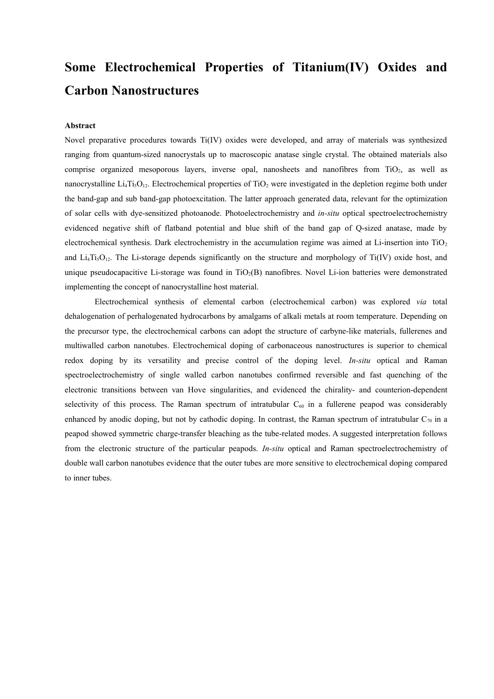## **Some Electrochemical Properties of Titanium(IV) Oxides and Carbon Nanostructures**

#### **Abstract**

Novel preparative procedures towards Ti(IV) oxides were developed, and array of materials was synthesized ranging from quantum-sized nanocrystals up to macroscopic anatase single crystal. The obtained materials also comprise organized mesoporous layers, inverse opal, nanosheets and nanofibres from TiO<sub>2</sub>, as well as nanocrystalline  $Li_4Ti_5O_{12}$ . Electrochemical properties of  $TiO_2$  were investigated in the depletion regime both under the band-gap and sub band-gap photoexcitation. The latter approach generated data, relevant for the optimization of solar cells with dye-sensitized photoanode. Photoelectrochemistry and *in-situ* optical spectroelectrochemistry evidenced negative shift of flatband potential and blue shift of the band gap of Q-sized anatase, made by electrochemical synthesis. Dark electrochemistry in the accumulation regime was aimed at Li-insertion into TiO<sub>2</sub> and Li<sub>4</sub>Ti<sub>5</sub>O<sub>12</sub>. The Li-storage depends significantly on the structure and morphology of Ti(IV) oxide host, and unique pseudocapacitive Li-storage was found in  $TiO<sub>2</sub>(B)$  nanofibres. Novel Li-ion batteries were demonstrated implementing the concept of nanocrystalline host material.

Electrochemical synthesis of elemental carbon (electrochemical carbon) was explored *via* total dehalogenation of perhalogenated hydrocarbons by amalgams of alkali metals at room temperature. Depending on the precursor type, the electrochemical carbons can adopt the structure of carbyne-like materials, fullerenes and multiwalled carbon nanotubes. Electrochemical doping of carbonaceous nanostructures is superior to chemical redox doping by its versatility and precise control of the doping level. *In-situ* optical and Raman spectroelectrochemistry of single walled carbon nanotubes confirmed reversible and fast quenching of the electronic transitions between van Hove singularities, and evidenced the chirality- and counterion-dependent selectivity of this process. The Raman spectrum of intratubular  $C_{60}$  in a fullerene peapod was considerably enhanced by anodic doping, but not by cathodic doping. In contrast, the Raman spectrum of intratubular  $C_{70}$  in a peapod showed symmetric charge-transfer bleaching as the tube-related modes. A suggested interpretation follows from the electronic structure of the particular peapods. *In-situ* optical and Raman spectroelectrochemistry of double wall carbon nanotubes evidence that the outer tubes are more sensitive to electrochemical doping compared to inner tubes.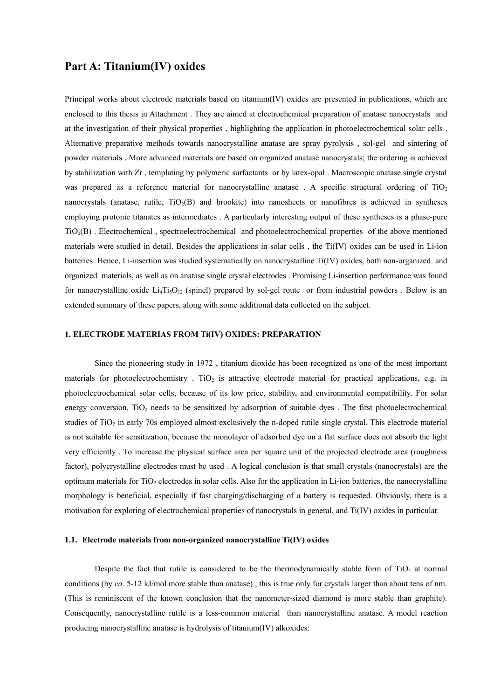#### **Part A: Titanium(IV) oxides**

Principal works about electrode materials based on titanium(IV) oxides are presented in publications, which are enclosed to this thesis in Attachment . They are aimed at electrochemical preparation of anatase nanocrystals and at the investigation of their physical properties , highlighting the application in photoelectrochemical solar cells . Alternative preparative methods towards nanocrystalline anatase are spray pyrolysis , sol-gel and sintering of powder materials . More advanced materials are based on organized anatase nanocrystals; the ordering is achieved by stabilization with Zr , templating by polymeric surfactants or by latex-opal . Macroscopic anatase single crystal was prepared as a reference material for nanocrystalline anatase. A specific structural ordering of  $TiO<sub>2</sub>$ nanocrystals (anatase, rutile,  $TiO<sub>2</sub>(B)$  and brookite) into nanosheets or nanofibres is achieved in syntheses employing protonic titanates as intermediates . A particularly interesting output of these syntheses is a phase-pure TiO2(B) . Electrochemical , spectroelectrochemical and photoelectrochemical properties of the above mentioned materials were studied in detail. Besides the applications in solar cells , the Ti(IV) oxides can be used in Li-ion batteries. Hence, Li-insertion was studied systematically on nanocrystalline Ti(IV) oxides, both non-organized and organized materials, as well as on anatase single crystal electrodes . Promising Li-insertion performance was found for nanocrystalline oxide  $Li_4Ti_5O_{12}$  (spinel) prepared by sol-gel route or from industrial powders. Below is an extended summary of these papers, along with some additional data collected on the subject.

#### **1. ELECTRODE MATERIAS FROM Ti(IV) OXIDES: PREPARATION**

Since the pioneering study in 1972 , titanium dioxide has been recognized as one of the most important materials for photoelectrochemistry . TiO<sub>2</sub> is attractive electrode material for practical applications, e.g. in photoelectrochemical solar cells, because of its low price, stability, and environmental compatibility. For solar energy conversion,  $TiO<sub>2</sub>$  needs to be sensitized by adsorption of suitable dyes. The first photoelectrochemical studies of TiO<sub>2</sub> in early 70s employed almost exclusively the n-doped rutile single crystal. This electrode material is not suitable for sensitization, because the monolayer of adsorbed dye on a flat surface does not absorb the light very efficiently . To increase the physical surface area per square unit of the projected electrode area (roughness factor), polycrystalline electrodes must be used . A logical conclusion is that small crystals (nanocrystals) are the optimum materials for  $TiO<sub>2</sub>$  electrodes in solar cells. Also for the application in Li-ion batteries, the nanocrystalline morphology is beneficial, especially if fast charging/discharging of a battery is requested. Obviously, there is a motivation for exploring of electrochemical properties of nanocrystals in general, and Ti(IV) oxides in particular.

#### **1.1. Electrode materials from non-organized nanocrystalline Ti(IV) oxides**

Despite the fact that rutile is considered to be the thermodynamically stable form of  $TiO<sub>2</sub>$  at normal conditions (by *ca.* 5-12 kJ/mol more stable than anatase) , this is true only for crystals larger than about tens of nm. (This is reminiscent of the known conclusion that the nanometer-sized diamond is more stable than graphite). Consequently, nanocrystalline rutile is a less-common material than nanocrystalline anatase. A model reaction producing nanocrystalline anatase is hydrolysis of titanium(IV) alkoxides: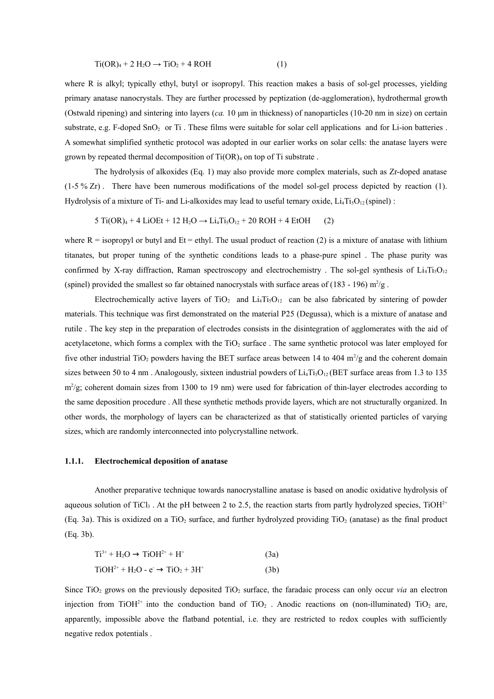$$
Ti(OR)4 + 2 H2O \rightarrow TiO2 + 4 ROH
$$
 (1)

where R is alkyl; typically ethyl, butyl or isopropyl. This reaction makes a basis of sol-gel processes, yielding primary anatase nanocrystals. They are further processed by peptization (de-agglomeration), hydrothermal growth (Ostwald ripening) and sintering into layers (*ca.* 10 μm in thickness) of nanoparticles (10-20 nm in size) on certain substrate, e.g. F-doped SnO<sub>2</sub> or Ti. These films were suitable for solar cell applications and for Li-ion batteries. A somewhat simplified synthetic protocol was adopted in our earlier works on solar cells: the anatase layers were grown by repeated thermal decomposition of  $Ti(OR)_4$  on top of Ti substrate.

The hydrolysis of alkoxides (Eq. 1) may also provide more complex materials, such as Zr-doped anatase  $(1-5\% Zr)$ . There have been numerous modifications of the model sol-gel process depicted by reaction (1). Hydrolysis of a mixture of Ti- and Li-alkoxides may lead to useful ternary oxide,  $Li<sub>4</sub>Ti<sub>5</sub>O<sub>12</sub>$  (spinel) :

 $5 Ti(OR)<sub>4</sub> + 4 LiOEt + 12 H<sub>2</sub>O \rightarrow Li<sub>4</sub>Ti<sub>5</sub>O<sub>12</sub> + 20 ROH + 4 EtOH$  (2)

where  $R =$  isopropyl or butyl and  $Et =$  ethyl. The usual product of reaction (2) is a mixture of anatase with lithium titanates, but proper tuning of the synthetic conditions leads to a phase-pure spinel . The phase purity was confirmed by X-ray diffraction, Raman spectroscopy and electrochemistry. The sol-gel synthesis of  $Li<sub>4</sub>Ti<sub>5</sub>O<sub>12</sub>$ (spinel) provided the smallest so far obtained nanocrystals with surface areas of (183 - 196)  $m^2/g$ .

Electrochemically active layers of TiO<sub>2</sub> and Li<sub>4</sub>Ti<sub>5</sub>O<sub>12</sub> can be also fabricated by sintering of powder materials. This technique was first demonstrated on the material P25 (Degussa), which is a mixture of anatase and rutile . The key step in the preparation of electrodes consists in the disintegration of agglomerates with the aid of acetylacetone, which forms a complex with the  $TiO<sub>2</sub>$  surface. The same synthetic protocol was later employed for five other industrial TiO<sub>2</sub> powders having the BET surface areas between 14 to 404 m<sup>2</sup>/g and the coherent domain sizes between 50 to 4 nm. Analogously, sixteen industrial powders of  $Li<sub>4</sub>Ti<sub>5</sub>O<sub>12</sub> (BET surface areas from 1.3 to 135$  $m^2/g$ ; coherent domain sizes from 1300 to 19 nm) were used for fabrication of thin-layer electrodes according to the same deposition procedure . All these synthetic methods provide layers, which are not structurally organized. In other words, the morphology of layers can be characterized as that of statistically oriented particles of varying sizes, which are randomly interconnected into polycrystalline network.

#### **1.1.1. Electrochemical deposition of anatase**

Another preparative technique towards nanocrystalline anatase is based on anodic oxidative hydrolysis of aqueous solution of TiCl<sub>3</sub>. At the pH between 2 to 2.5, the reaction starts from partly hydrolyzed species, TiOH<sup>2+</sup> (Eq. 3a). This is oxidized on a TiO<sub>2</sub> surface, and further hydrolyzed providing TiO<sub>2</sub> (anatase) as the final product (Eq. 3b).

$$
Ti3+ + H2O \rightarrow TiOH2+ + H+
$$
 (3a)  
TiOH<sup>2+</sup> + H<sub>2</sub>O - e \rightarrow TiO<sub>2</sub> + 3H<sup>+</sup> (3b)

Since  $TiO<sub>2</sub>$  grows on the previously deposited  $TiO<sub>2</sub>$  surface, the faradaic process can only occur *via* an electron injection from TiOH<sup>2+</sup> into the conduction band of TiO<sub>2</sub>. Anodic reactions on (non-illuminated) TiO<sub>2</sub> are, apparently, impossible above the flatband potential, i.e. they are restricted to redox couples with sufficiently negative redox potentials .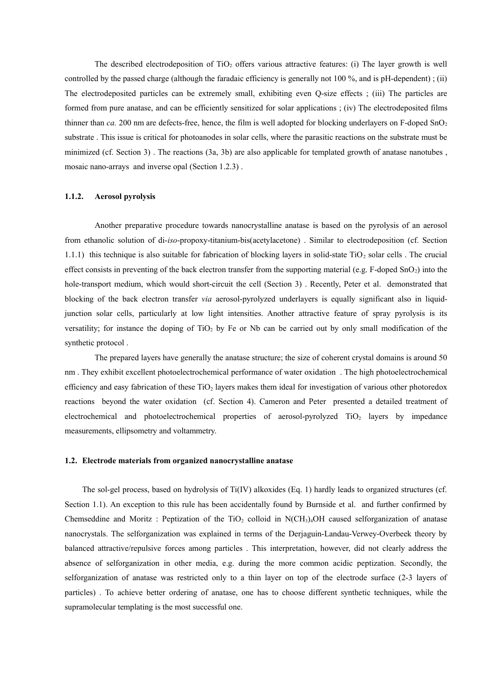The described electrodeposition of  $TiO<sub>2</sub>$  offers various attractive features: (i) The layer growth is well controlled by the passed charge (although the faradaic efficiency is generally not 100 %, and is pH-dependent) ; (ii) The electrodeposited particles can be extremely small, exhibiting even Q-size effects ; (iii) The particles are formed from pure anatase, and can be efficiently sensitized for solar applications ; (iv) The electrodeposited films thinner than  $ca$ . 200 nm are defects-free, hence, the film is well adopted for blocking underlayers on F-doped SnO<sub>2</sub> substrate . This issue is critical for photoanodes in solar cells, where the parasitic reactions on the substrate must be minimized (cf. Section 3) . The reactions (3a, 3b) are also applicable for templated growth of anatase nanotubes , mosaic nano-arrays and inverse opal (Section 1.2.3) .

#### **1.1.2. Aerosol pyrolysis**

Another preparative procedure towards nanocrystalline anatase is based on the pyrolysis of an aerosol from ethanolic solution of di-*iso*-propoxy-titanium-bis(acetylacetone) . Similar to electrodeposition (cf. Section 1.1.1) this technique is also suitable for fabrication of blocking layers in solid-state TiO<sup>2</sup> solar cells . The crucial effect consists in preventing of the back electron transfer from the supporting material (e.g. F-doped  $SnO<sub>2</sub>$ ) into the hole-transport medium, which would short-circuit the cell (Section 3). Recently, Peter et al. demonstrated that blocking of the back electron transfer *via* aerosol-pyrolyzed underlayers is equally significant also in liquidjunction solar cells, particularly at low light intensities. Another attractive feature of spray pyrolysis is its versatility; for instance the doping of  $TiO<sub>2</sub>$  by Fe or Nb can be carried out by only small modification of the synthetic protocol .

The prepared layers have generally the anatase structure; the size of coherent crystal domains is around 50 nm . They exhibit excellent photoelectrochemical performance of water oxidation . The high photoelectrochemical efficiency and easy fabrication of these  $TiO<sub>2</sub>$  layers makes them ideal for investigation of various other photoredox reactions beyond the water oxidation (cf. Section 4). Cameron and Peter presented a detailed treatment of electrochemical and photoelectrochemical properties of aerosol-pyrolyzed TiO<sub>2</sub> layers by impedance measurements, ellipsometry and voltammetry.

#### **1.2. Electrode materials from organized nanocrystalline anatase**

The sol-gel process, based on hydrolysis of Ti(IV) alkoxides (Eq. 1) hardly leads to organized structures (cf. Section 1.1). An exception to this rule has been accidentally found by Burnside et al. and further confirmed by Chemseddine and Moritz : Peptization of the TiO<sub>2</sub> colloid in N(CH<sub>3</sub>)<sub>4</sub>OH caused selforganization of anatase nanocrystals. The selforganization was explained in terms of the Derjaguin-Landau-Verwey-Overbeek theory by balanced attractive/repulsive forces among particles . This interpretation, however, did not clearly address the absence of selforganization in other media, e.g. during the more common acidic peptization. Secondly, the selforganization of anatase was restricted only to a thin layer on top of the electrode surface (2-3 layers of particles) . To achieve better ordering of anatase, one has to choose different synthetic techniques, while the supramolecular templating is the most successful one.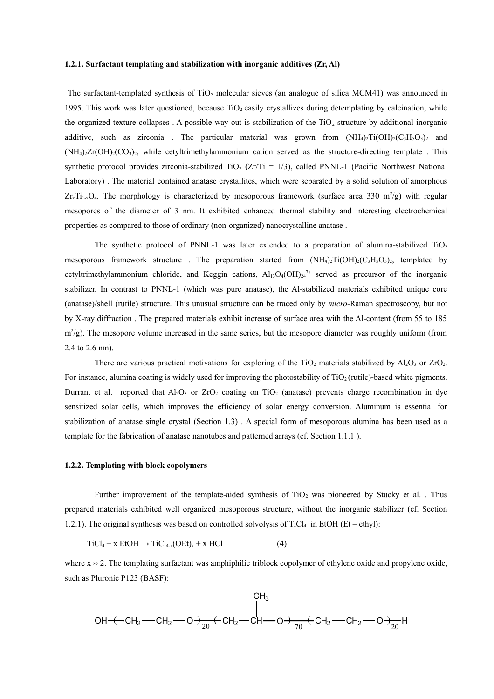#### **1.2.1. Surfactant templating and stabilization with inorganic additives (Zr, Al)**

The surfactant-templated synthesis of  $TiO<sub>2</sub>$  molecular sieves (an analogue of silica MCM41) was announced in 1995. This work was later questioned, because  $TiO<sub>2</sub>$  easily crystallizes during detemplating by calcination, while the organized texture collapses. A possible way out is stabilization of the  $TiO<sub>2</sub>$  structure by additional inorganic additive, such as zirconia. The particular material was grown from  $(NH_4)_2Ti(OH)_2(C_3H_3O_3)_2$  and  $(NH_4)_2Zr(OH)_2(CO_3)_2$ , while cetyltrimethylammonium cation served as the structure-directing template . This synthetic protocol provides zirconia-stabilized  $TiO<sub>2</sub>$  (Zr/Ti = 1/3), called PNNL-1 (Pacific Northwest National Laboratory) . The material contained anatase crystallites, which were separated by a solid solution of amorphous  $Z_{r_x}$ Ti<sub>1-x</sub>O<sub>4</sub>. The morphology is characterized by mesoporous framework (surface area 330 m<sup>2</sup>/g) with regular mesopores of the diameter of 3 nm. It exhibited enhanced thermal stability and interesting electrochemical properties as compared to those of ordinary (non-organized) nanocrystalline anatase .

The synthetic protocol of PNNL-1 was later extended to a preparation of alumina-stabilized  $TiO<sub>2</sub>$ mesoporous framework structure. The preparation started from  $(NH_4)_2Ti(OH)_2(C_3H_5O_3)_2$ , templated by cetyltrimethylammonium chloride, and Keggin cations,  $Al_13O_4(OH)_{24}^{\gamma+}$  served as precursor of the inorganic stabilizer. In contrast to PNNL-1 (which was pure anatase), the Al-stabilized materials exhibited unique core (anatase)/shell (rutile) structure. This unusual structure can be traced only by *micro*-Raman spectroscopy, but not by X-ray diffraction . The prepared materials exhibit increase of surface area with the Al-content (from 55 to 185  $(m^2/g)$ . The mesopore volume increased in the same series, but the mesopore diameter was roughly uniform (from 2.4 to 2.6 nm).

There are various practical motivations for exploring of the TiO<sub>2</sub> materials stabilized by  $A_1O_3$  or  $ZrO_2$ . For instance, alumina coating is widely used for improving the photostability of  $TiO<sub>2</sub>$  (rutile)-based white pigments. Durrant et al. reported that  $Al_2O_3$  or  $ZrO_2$  coating on TiO<sub>2</sub> (anatase) prevents charge recombination in dye sensitized solar cells, which improves the efficiency of solar energy conversion. Aluminum is essential for stabilization of anatase single crystal (Section 1.3) . A special form of mesoporous alumina has been used as a template for the fabrication of anatase nanotubes and patterned arrays (cf. Section 1.1.1 ).

#### **1.2.2. Templating with block copolymers**

Further improvement of the template-aided synthesis of  $TiO<sub>2</sub>$  was pioneered by Stucky et al. . Thus prepared materials exhibited well organized mesoporous structure, without the inorganic stabilizer (cf. Section 1.2.1). The original synthesis was based on controlled solvolysis of  $TicL_4$  in EtOH (Et – ethyl):

$$
TiCl4 + x EtOH \rightarrow TiCl4-x(OEt)x + x HCl
$$
 (4)

where  $x \approx 2$ . The templating surfactant was amphiphilic triblock copolymer of ethylene oxide and propylene oxide, such as Pluronic P123 (BASF):

$$
\begin{array}{c}\n & \text{CH}_3 \\
& \text{OH} + \text{CH}_2 \text{--CH}_2 \text{--} \text{CH}_2 + \text{CH}_2 \text{--} \text{CH}_2 \text{--} \text{CH}_2 \text{--} \text{CH}_2 \text{--} \text{CH}_2 \text{--} \text{CH}_2 \text{--} \text{CH}_2 \\
& \text{OH} + \text{CH}_2 \text{--} \text{CH}_2 \text{--} \text{CH}_2 \text{--} \text{CH}_2 \text{--} \text{CH}_2 \text{--} \text{CH}_2 \text{--} \text{CH}_2 \text{--} \text{CH}_2 \text{--} \text{CH}_2 \text{--} \text{CH}_2 \text{--} \text{CH}_2 \text{--} \end{array}
$$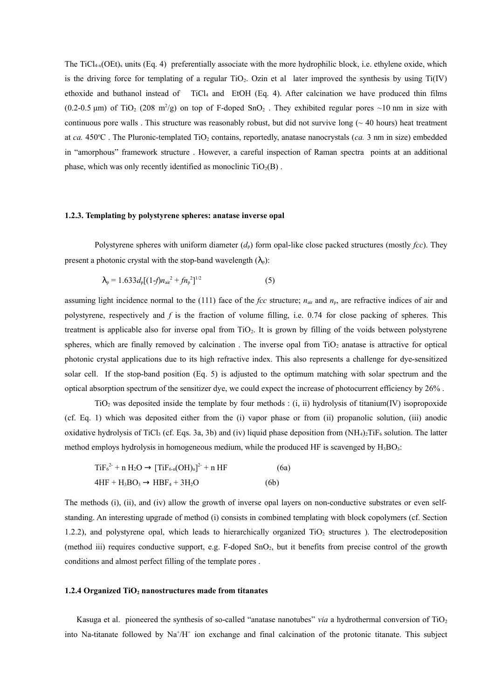The TiCl<sub>4-x</sub>(OEt)<sub>x</sub> units (Eq. 4) preferentially associate with the more hydrophilic block, i.e. ethylene oxide, which is the driving force for templating of a regular  $TiO<sub>2</sub>$ . Ozin et al later improved the synthesis by using  $Ti(IV)$ ethoxide and buthanol instead of TiCl<sup>4</sup> and EtOH (Eq. 4). After calcination we have produced thin films  $(0.2\n-0.5 \,\mu m)$  of TiO<sub>2</sub> (208 m<sup>2</sup>/g) on top of F-doped SnO<sub>2</sub>. They exhibited regular pores ~10 nm in size with continuous pore walls. This structure was reasonably robust, but did not survive long  $($   $\sim$  40 hours) heat treatment at  $ca. 450^{\circ}\text{C}$ . The Pluronic-templated TiO<sub>2</sub> contains, reportedly, anatase nanocrystals ( $ca. 3$  nm in size) embedded in "amorphous" framework structure . However, a careful inspection of Raman spectra points at an additional phase, which was only recently identified as monoclinic  $TiO<sub>2</sub>(B)$ .

#### **1.2.3. Templating by polystyrene spheres: anatase inverse opal**

Polystyrene spheres with uniform diameter  $(d_p)$  form opal-like close packed structures (mostly *fcc*). They present a photonic crystal with the stop-band wavelength  $(\lambda_n)$ :

$$
\lambda_{\rm p} = 1.633 d_{\rm p} [(1-f)n_{\rm air}^2 + fn_{\rm p}^2]^{1/2} \tag{5}
$$

assuming light incidence normal to the (111) face of the *fcc* structure;  $n_{air}$  and  $n_p$ , are refractive indices of air and polystyrene, respectively and *f* is the fraction of volume filling, i.e. 0.74 for close packing of spheres. This treatment is applicable also for inverse opal from TiO2. It is grown by filling of the voids between polystyrene spheres, which are finally removed by calcination. The inverse opal from  $TiO<sub>2</sub>$  anatase is attractive for optical photonic crystal applications due to its high refractive index. This also represents a challenge for dye-sensitized solar cell. If the stop-band position (Eq. 5) is adjusted to the optimum matching with solar spectrum and the optical absorption spectrum of the sensitizer dye, we could expect the increase of photocurrent efficiency by 26% .

 $TiO<sub>2</sub>$  was deposited inside the template by four methods : (i, ii) hydrolysis of titanium(IV) isopropoxide (cf. Eq. 1) which was deposited either from the (i) vapor phase or from (ii) propanolic solution, (iii) anodic oxidative hydrolysis of TiCl<sub>3</sub> (cf. Eqs. 3a, 3b) and (iv) liquid phase deposition from  $(NH_4)_2$ TiF<sub>6</sub> solution. The latter method employs hydrolysis in homogeneous medium, while the produced HF is scavenged by  $H_3BO_3$ :

$$
TiF62- + n H2O \rightarrow [TiF6-n(OH)n]2- + n HF
$$
 (6a)  
4HF + H<sub>3</sub>BO<sub>3</sub> \rightarrow HBF<sub>4</sub> + 3H<sub>2</sub>O (6b)

The methods (i), (ii), and (iv) allow the growth of inverse opal layers on non-conductive substrates or even selfstanding. An interesting upgrade of method (i) consists in combined templating with block copolymers (cf. Section 1.2.2), and polystyrene opal, which leads to hierarchically organized  $TiO<sub>2</sub>$  structures ). The electrodeposition (method iii) requires conductive support, e.g. F-doped SnO2, but it benefits from precise control of the growth conditions and almost perfect filling of the template pores .

#### **1.2.4 Organized TiO2 nanostructures made from titanates**

Kasuga et al. pioneered the synthesis of so-called "anatase nanotubes" *via* a hydrothermal conversion of TiO<sub>2</sub> into Na-titanate followed by  $\text{Na}^+/\text{H}^+$  ion exchange and final calcination of the protonic titanate. This subject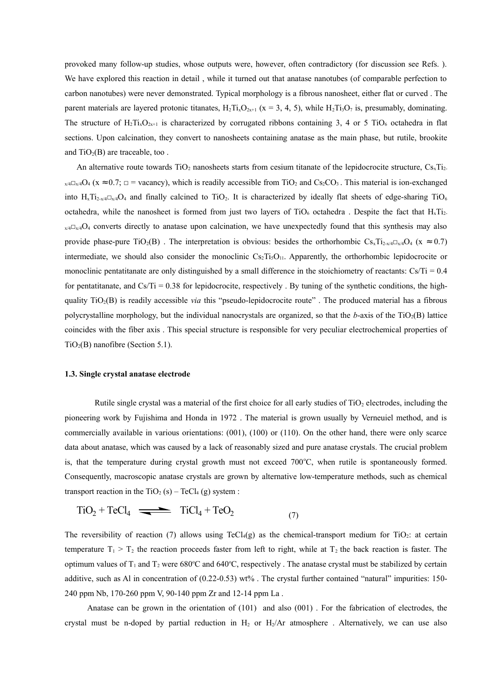provoked many follow-up studies, whose outputs were, however, often contradictory (for discussion see Refs. ). We have explored this reaction in detail , while it turned out that anatase nanotubes (of comparable perfection to carbon nanotubes) were never demonstrated. Typical morphology is a fibrous nanosheet, either flat or curved . The parent materials are layered protonic titanates,  $H_2Ti_3O_{2x+1}$  ( $x = 3, 4, 5$ ), while  $H_2Ti_3O_7$  is, presumably, dominating. The structure of H<sub>2</sub>Ti<sub>x</sub>O<sub>2x+1</sub> is characterized by corrugated ribbons containing 3, 4 or 5 TiO<sub>6</sub> octahedra in flat sections. Upon calcination, they convert to nanosheets containing anatase as the main phase, but rutile, brookite and  $TiO<sub>2</sub>(B)$  are traceable, too.

An alternative route towards  $TiO<sub>2</sub>$  nanosheets starts from cesium titanate of the lepidocrocite structure,  $Cs<sub>x</sub>Ti<sub>2</sub>$ .  $_{x/4}C_{x/4}O_4$  ( $x \approx 0.7$ ;  $\Box$  = vacancy), which is readily accessible from TiO<sub>2</sub> and Cs<sub>2</sub>CO<sub>3</sub>. This material is ion-exchanged into  $H_xT_{12-x/4}$  and finally calcined to TiO<sub>2</sub>. It is characterized by ideally flat sheets of edge-sharing TiO<sub>6</sub> octahedra, while the nanosheet is formed from just two layers of  $TiO_6$  octahedra . Despite the fact that  $H_xTi_2$  $x/4\Box x/4\Box x/4\Box x$  converts directly to anatase upon calcination, we have unexpectedly found that this synthesis may also provide phase-pure TiO<sub>2</sub>(B). The interpretation is obvious: besides the orthorhombic  $Cs_xTi_{2-x/4}C_{x/4}O_4$  (x  $\approx 0.7$ ) intermediate, we should also consider the monoclinic  $Cs_2Ti_5O<sub>11</sub>$ . Apparently, the orthorhombic lepidocrocite or monoclinic pentatitanate are only distinguished by a small difference in the stoichiometry of reactants:  $Cs/Ti = 0.4$ for pentatitanate, and  $Cs/Ti = 0.38$  for lepidocrocite, respectively . By tuning of the synthetic conditions, the highquality TiO2(B) is readily accessible *via* this "pseudo-lepidocrocite route" . The produced material has a fibrous polycrystalline morphology, but the individual nanocrystals are organized, so that the *b*-axis of the TiO2(B) lattice coincides with the fiber axis . This special structure is responsible for very peculiar electrochemical properties of  $TiO<sub>2</sub>(B)$  nanofibre (Section 5.1).

#### **1.3. Single crystal anatase electrode**

Rutile single crystal was a material of the first choice for all early studies of  $TiO<sub>2</sub>$  electrodes, including the pioneering work by Fujishima and Honda in 1972 . The material is grown usually by Verneuiel method, and is commercially available in various orientations: (001), (100) or (110). On the other hand, there were only scarce data about anatase, which was caused by a lack of reasonably sized and pure anatase crystals. The crucial problem is, that the temperature during crystal growth must not exceed 700°C, when rutile is spontaneously formed. Consequently, macroscopic anatase crystals are grown by alternative low-temperature methods, such as chemical transport reaction in the TiO<sub>2</sub> (s) – TeCl<sub>4</sub> (g) system :

$$
TiO_2 + TeCl_4 \implies TiCl_4 + TeO_2 \tag{7}
$$

The reversibility of reaction (7) allows using TeCl<sub>4</sub>(g) as the chemical-transport medium for TiO<sub>2</sub>: at certain temperature  $T_1 > T_2$  the reaction proceeds faster from left to right, while at  $T_2$  the back reaction is faster. The optimum values of  $T_1$  and  $T_2$  were 680°C and 640°C, respectively. The anatase crystal must be stabilized by certain additive, such as Al in concentration of (0.22-0.53) wt% . The crystal further contained "natural" impurities: 150- 240 ppm Nb, 170-260 ppm V, 90-140 ppm Zr and 12-14 ppm La .

Anatase can be grown in the orientation of (101) and also (001) . For the fabrication of electrodes, the crystal must be n-doped by partial reduction in  $H_2$  or  $H_2/Ar$  atmosphere. Alternatively, we can use also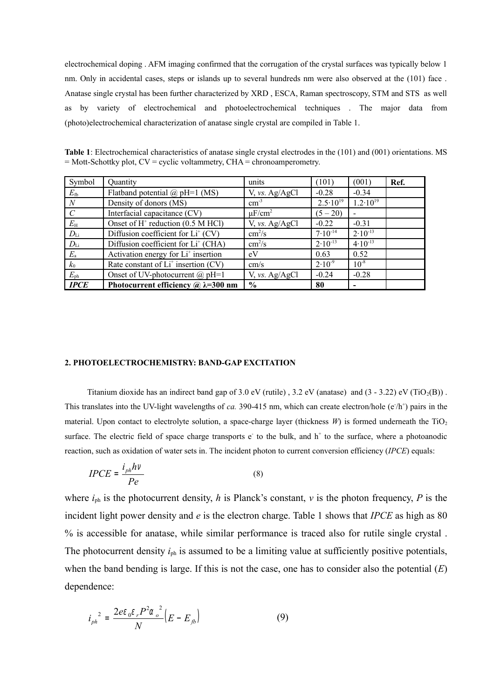electrochemical doping . AFM imaging confirmed that the corrugation of the crystal surfaces was typically below 1 nm. Only in accidental cases, steps or islands up to several hundreds nm were also observed at the (101) face . Anatase single crystal has been further characterized by XRD , ESCA, Raman spectroscopy, STM and STS as well as by variety of electrochemical and photoelectrochemical techniques . The major data from (photo)electrochemical characterization of anatase single crystal are compiled in Table 1.

| Table 1: Electrochemical characteristics of anatase single crystal electrodes in the (101) and (001) orientations. MS |  |
|-----------------------------------------------------------------------------------------------------------------------|--|
| $=$ Mott-Schottky plot, CV = cyclic voltammetry, CHA = chronoamperometry.                                             |  |

| Symbol           | Quantity                                                  | units                   | (101)               | (001)                    | Ref. |
|------------------|-----------------------------------------------------------|-------------------------|---------------------|--------------------------|------|
| $E_{\rm fb}$     | Flatband potential $\omega$ pH=1 (MS)                     | V, vs. Ag/AgCl          | $-0.28$             | $-0.34$                  |      |
| $\boldsymbol{N}$ | Density of donors (MS)                                    | $\text{cm}^3$           | $2.5 \cdot 10^{19}$ | $1.2 \cdot 10^{19}$      |      |
| $\mathcal{C}$    | Interfacial capacitance (CV)                              | $\mu$ F/cm <sup>2</sup> | $(5 - 20)$          |                          |      |
| $E_{\rm H}$      | Onset of $H^+$ reduction (0.5 M HCl)                      | V, vs. Ag/AgCl          | $-0.22$             | $-0.31$                  |      |
| $D_{\rm Li}$     | Diffusion coefficient for $Li+$ (CV)                      | $\text{cm}^2/\text{s}$  | $7.10^{-14}$        | $2.10^{-13}$             |      |
| $D_{\rm Li}$     | Diffusion coefficient for Li <sup>+</sup> (CHA)           | $\text{cm}^2/\text{s}$  | $2.10^{-13}$        | $4.10^{-13}$             |      |
| $E_{\rm a}$      | Activation energy for Li <sup>+</sup> insertion           | eV                      | 0.63                | 0.52                     |      |
| $k_0$            | Rate constant of $Li^+$ insertion (CV)                    | cm/s                    | $2.10^{-9}$         | $10^{-8}$                |      |
| $E_{\rm ph}$     | Onset of UV-photocurrent $(a)$ pH=1                       | V, vs. Ag/AgCl          | $-0.24$             | $-0.28$                  |      |
| <b>IPCE</b>      | Photocurrent efficiency $\omega \lambda = 300 \text{ nm}$ | $\frac{0}{0}$           | 80                  | $\overline{\phantom{0}}$ |      |

#### **2. PHOTOELECTROCHEMISTRY: BAND-GAP EXCITATION**

Titanium dioxide has an indirect band gap of 3.0 eV (rutile), 3.2 eV (anatase) and  $(3 - 3.22)$  eV (TiO<sub>2</sub>(B)). This translates into the UV-light wavelengths of *ca*. 390-415 nm, which can create electron/hole ( $e/h$ <sup>+</sup>) pairs in the material. Upon contact to electrolyte solution, a space-charge layer (thickness  $W$ ) is formed underneath the TiO<sub>2</sub> surface. The electric field of space charge transports  $e$  to the bulk, and  $h^+$  to the surface, where a photoanodic reaction, such as oxidation of water sets in. The incident photon to current conversion efficiency (*IPCE*) equals:

$$
IPCE = \frac{i_{ph}hv}{Pe} \tag{8}
$$

where  $i_{ph}$  is the photocurrent density, *h* is Planck's constant, *v* is the photon frequency, *P* is the incident light power density and *e* is the electron charge. Table 1 shows that *IPCE* as high as 80 % is accessible for anatase, while similar performance is traced also for rutile single crystal . The photocurrent density  $i_{ph}$  is assumed to be a limiting value at sufficiently positive potentials, when the band bending is large. If this is not the case, one has to consider also the potential (*E*) dependence:

$$
i_{ph}^{2} = \frac{2e\varepsilon_0 \varepsilon_r P^2 \alpha_o^{2}}{N} \left( E - E_{fb} \right)
$$
 (9)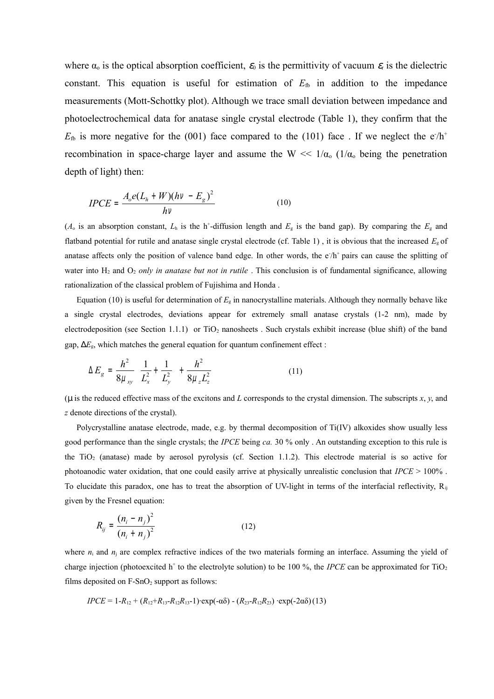where  $\alpha_0$  is the optical absorption coefficient,  $\varepsilon_0$  is the permittivity of vacuum  $\varepsilon_r$  is the dielectric constant. This equation is useful for estimation of  $E_{\text{fb}}$  in addition to the impedance measurements (Mott-Schottky plot). Although we trace small deviation between impedance and photoelectrochemical data for anatase single crystal electrode (Table 1), they confirm that the  $E_{\text{fb}}$  is more negative for the (001) face compared to the (101) face. If we neglect the  $e/h^+$ recombination in space-charge layer and assume the W  $\ll 1/\alpha_0$  ( $1/\alpha_0$  being the penetration depth of light) then:

$$
IPCE = \frac{A_o e (L_h + W)(hv - E_g)^2}{hv}
$$
 (10)

 $(A_0$  is an absorption constant,  $L_h$  is the h<sup>+</sup>-diffusion length and  $E_g$  is the band gap). By comparing the  $E_g$  and flatband potential for rutile and anatase single crystal electrode (cf. Table 1) , it is obvious that the increased *E*<sup>g</sup> of anatase affects only the position of valence band edge. In other words, the  $e/h<sup>+</sup>$  pairs can cause the splitting of water into H<sub>2</sub> and O<sub>2</sub> *only in anatase but not in rutile*. This conclusion is of fundamental significance, allowing rationalization of the classical problem of Fujishima and Honda .

Equation (10) is useful for determination of  $E<sub>g</sub>$  in nanocrystalline materials. Although they normally behave like a single crystal electrodes, deviations appear for extremely small anatase crystals (1-2 nm), made by electrodeposition (see Section 1.1.1) or TiO<sub>2</sub> nanosheets . Such crystals exhibit increase (blue shift) of the band gap, ∆*E*g, which matches the general equation for quantum confinement effect :

$$
\Delta E_g = \frac{h^2}{8\mu_{xy}} \left( \frac{1}{L_x^2} + \frac{1}{L_y^2} \right) + \frac{h^2}{8\mu_z L_z^2}
$$
 (11)

(µ is the reduced effective mass of the excitons and *L* corresponds to the crystal dimension. The subscripts *x*, *y*, and *z* denote directions of the crystal).

Polycrystalline anatase electrode, made, e.g. by thermal decomposition of Ti(IV) alkoxides show usually less good performance than the single crystals; the *IPCE* being *ca.* 30 % only . An outstanding exception to this rule is the  $TiO<sub>2</sub>$  (anatase) made by aerosol pyrolysis (cf. Section 1.1.2). This electrode material is so active for photoanodic water oxidation, that one could easily arrive at physically unrealistic conclusion that *IPCE* > 100% . To elucidate this paradox, one has to treat the absorption of UV-light in terms of the interfacial reflectivity,  $R_{ii}$ given by the Fresnel equation:

$$
R_{ij} = \frac{(n_i - n_j)^2}{(n_i + n_j)^2}
$$
 (12)

where  $n_i$  and  $n_j$  are complex refractive indices of the two materials forming an interface. Assuming the yield of charge injection (photoexcited  $h^+$  to the electrolyte solution) to be 100 %, the *IPCE* can be approximated for TiO<sub>2</sub> films deposited on  $F-SnO<sub>2</sub>$  support as follows:

$$
IPCE = 1 - R_{12} + (R_{12} + R_{13} - R_{12}R_{13} - 1) \cdot \exp(-\alpha \delta) - (R_{23} - R_{12}R_{23}) \cdot \exp(-2\alpha \delta) (13)
$$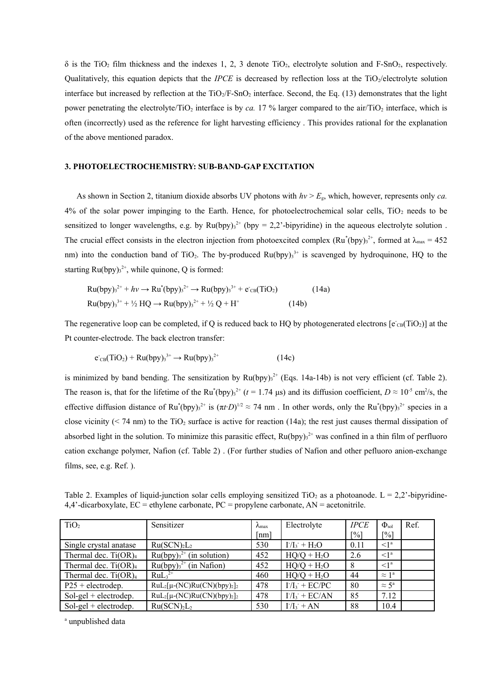$\delta$  is the TiO<sub>2</sub> film thickness and the indexes 1, 2, 3 denote TiO<sub>2</sub>, electrolyte solution and F-SnO<sub>2</sub>, respectively. Qualitatively, this equation depicts that the *IPCE* is decreased by reflection loss at the TiO<sub>2</sub>/electrolyte solution interface but increased by reflection at the  $TiO<sub>2</sub>/F-SnO<sub>2</sub>$  interface. Second, the Eq. (13) demonstrates that the light power penetrating the electrolyte/TiO<sub>2</sub> interface is by *ca.* 17 % larger compared to the air/TiO<sub>2</sub> interface, which is often (incorrectly) used as the reference for light harvesting efficiency . This provides rational for the explanation of the above mentioned paradox.

#### **3. PHOTOELECTROCHEMISTRY: SUB-BAND-GAP EXCITATION**

As shown in Section 2, titanium dioxide absorbs UV photons with  $hv > E<sub>g</sub>$ , which, however, represents only *ca*.  $4\%$  of the solar power impinging to the Earth. Hence, for photoelectrochemical solar cells, TiO<sub>2</sub> needs to be sensitized to longer wavelengths, e.g. by  $Ru(bpy)^{3^2}$  (bpy = 2,2'-bipyridine) in the aqueous electrolyte solution. The crucial effect consists in the electron injection from photoexcited complex  $(Ru^*(bpy)_3^{2^+}$ , formed at  $\lambda_{\text{max}} = 452$ nm) into the conduction band of TiO<sub>2</sub>. The by-produced Ru(bpy) $3<sup>3+</sup>$  is scavenged by hydroquinone, HQ to the starting  $Ru(bpy)<sub>3</sub><sup>2+</sup>$ , while quinone, Q is formed:

Ru(bpy)<sub>3</sub><sup>2+</sup> + *hv* → Ru<sup>\*</sup>(bpy)<sub>3</sub><sup>2+</sup> → Ru(bpy)<sub>3</sub><sup>3+</sup> + e<sup>-</sup>CB(TiO<sub>2</sub>) (14a)  
\nRu(bpy)<sub>3</sub><sup>3+</sup> + 
$$
\frac{1}{2}
$$
HQ → Ru(bpy)<sub>3</sub><sup>2+</sup> +  $\frac{1}{2}$ Q + H<sup>+</sup> (14b)

The regenerative loop can be completed, if Q is reduced back to HQ by photogenerated electrons  $[e_{CB}(TiO_2)]$  at the Pt counter-electrode. The back electron transfer:

$$
e_{CB}(TiO_2) + Ru(bpy)_3^{3+} \rightarrow Ru(bpy)_3^{2+}
$$
 (14c)

is minimized by band bending. The sensitization by  $Ru(bpy)<sub>3</sub><sup>2+</sup>$  (Eqs. 14a-14b) is not very efficient (cf. Table 2). The reason is, that for the lifetime of the Ru<sup>\*</sup>(bpy)<sub>3</sub><sup>2+</sup> ( $t = 1.74 \text{ }\mu\text{s}$ ) and its diffusion coefficient,  $D \approx 10^{-5} \text{ cm}^2/\text{s}$ , the effective diffusion distance of Ru<sup>\*</sup>(bpy)<sub>3</sub><sup>2+</sup> is  $(\pi t \cdot D)^{1/2} \approx 74$  nm. In other words, only the Ru<sup>\*</sup>(bpy)<sub>3</sub><sup>2+</sup> species in a close vicinity ( $\leq$  74 nm) to the TiO<sub>2</sub> surface is active for reaction (14a); the rest just causes thermal dissipation of absorbed light in the solution. To minimize this parasitic effect,  $Ru(bpy)_3^{2+}$  was confined in a thin film of perfluoro cation exchange polymer, Nafion (cf. Table 2) . (For further studies of Nafion and other pefluoro anion-exchange films, see, e.g. Ref. ).

| TiO <sub>2</sub>           | Sensitizer                                                                 | $\lambda_{\text{max}}$ | Electrolyte                | <b>IPCE</b>       | $\Phi_{\rm sol}$      | Ref. |
|----------------------------|----------------------------------------------------------------------------|------------------------|----------------------------|-------------------|-----------------------|------|
|                            |                                                                            | $\lceil nm \rceil$     |                            | $\lceil\% \rceil$ | $\lceil\% \rceil$     |      |
| Single crystal anatase     | Ru(SCN) <sub>2</sub> L <sub>2</sub>                                        | 530                    | $I/I_3$ + H <sub>2</sub> O | 0.11              | $\leq$ <sup>1</sup>   |      |
| Thermal dec. $Ti(OR)4$     | $Ru(bpy)32+$ (in solution)                                                 | 452                    | $HQ/Q + H_2O$              | 2.6               | $\leq$ <sup>1</sup>   |      |
| Thermal dec. $Ti(OR)4$     | $Ru(bpy)32+$ (in Nation)                                                   | 452                    | $HQ/Q + H_2O$              | 8                 | $\leq$ 1 <sup>a</sup> |      |
| Thermal dec. $Ti(OR)4$     | $RuL32+$                                                                   | 460                    | $HQ/Q + H_2O$              | 44                | $\approx 1^a$         |      |
| $P25 + \text{electrodep.}$ | $\text{RuL}_2[\mu\text{-}(\text{NC})\text{Ru}(\text{CN})(\text{bpy})_2]_2$ | 478                    | $I/I_3$ + EC/PC            | 80                | $\approx 5^{\rm a}$   |      |
| $Sol-gel + electrodep.$    | $\text{RuL}_2[\mu\text{-}(\text{NC})\text{Ru}(\text{CN})(\text{bpy})_2]_2$ | 478                    | $I/I_3$ + EC/AN            | 85                | 7.12                  |      |
| $Sol-gel + electrodep.$    | Ru(SCN) <sub>2</sub> L <sub>2</sub>                                        | 530                    | $I/I_3$ + AN               | 88                | 10.4                  |      |

Table 2. Examples of liquid-junction solar cells employing sensitized TiO<sub>2</sub> as a photoanode. L = 2,2'-bipyridine- $4.4'$ -dicarboxylate, EC = ethylene carbonate, PC = propylene carbonate, AN = acetonitrile.

<sup>a</sup> unpublished data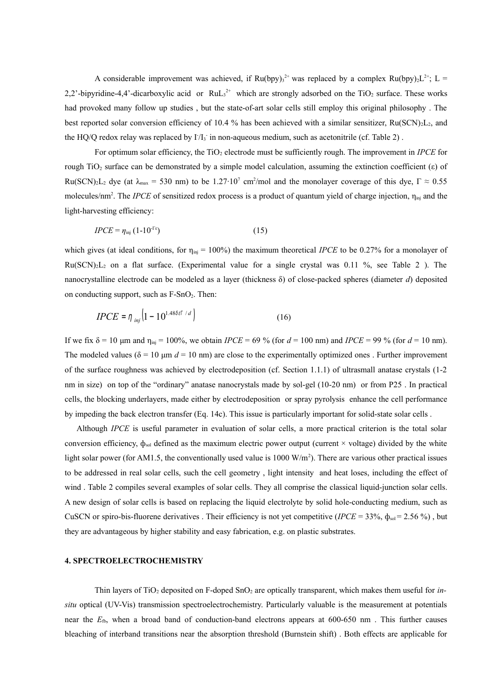A considerable improvement was achieved, if  $Ru(bpy)_3^{2+}$  was replaced by a complex  $Ru(bpy)_2L^{2+}$ ; L = 2,2'-bipyridine-4,4'-dicarboxylic acid or  $RuL<sub>3</sub><sup>2+</sup>$  which are strongly adsorbed on the TiO<sub>2</sub> surface. These works had provoked many follow up studies , but the state-of-art solar cells still employ this original philosophy . The best reported solar conversion efficiency of 10.4 % has been achieved with a similar sensitizer,  $Ru(SCN)_{2}L_{2}$ , and the HQ/Q redox relay was replaced by  $1/I_3$  in non-aqueous medium, such as acetonitrile (cf. Table 2).

For optimum solar efficiency, the TiO<sub>2</sub> electrode must be sufficiently rough. The improvement in *IPCE* for rough TiO<sub>2</sub> surface can be demonstrated by a simple model calculation, assuming the extinction coefficient (ε) of Ru(SCN)<sub>2</sub>L<sub>2</sub> dye (at  $\lambda_{\text{max}} = 530$  nm) to be 1.27⋅10<sup>7</sup> cm<sup>2</sup>/mol and the monolayer coverage of this dye,  $\Gamma \approx 0.55$ molecules/nm<sup>2</sup>. The *IPCE* of sensitized redox process is a product of quantum yield of charge injection,  $\eta_{\text{ini}}$  and the light-harvesting efficiency:

$$
IPCE = \eta_{\text{inj}} \left( 1 \text{-} 10^{\text{-}E} \right) \tag{15}
$$

which gives (at ideal conditions, for  $\eta_{\text{ini}} = 100\%$ ) the maximum theoretical *IPCE* to be 0.27% for a monolayer of  $Ru(SCN)<sub>2</sub>L<sub>2</sub>$  on a flat surface. (Experimental value for a single crystal was 0.11 %, see Table 2). The nanocrystalline electrode can be modeled as a layer (thickness δ) of close-packed spheres (diameter *d*) deposited on conducting support, such as  $F-SnO<sub>2</sub>$ . Then:

$$
IPCE = \eta_{inj} \left( 1 - 10^{1.48\delta\epsilon\Gamma/d} \right) \tag{16}
$$

If we fix δ = 10 μm and  $η_{ini}$  = 100%, we obtain *IPCE* = 69 % (for  $d = 100$  nm) and *IPCE* = 99 % (for  $d = 10$  nm). The modeled values ( $\delta = 10 \text{ µm } d = 10 \text{ nm}$ ) are close to the experimentally optimized ones. Further improvement of the surface roughness was achieved by electrodeposition (cf. Section 1.1.1) of ultrasmall anatase crystals (1-2 nm in size) on top of the "ordinary" anatase nanocrystals made by sol-gel (10-20 nm) or from P25 . In practical cells, the blocking underlayers, made either by electrodeposition or spray pyrolysis enhance the cell performance by impeding the back electron transfer (Eq. 14c). This issue is particularly important for solid-state solar cells .

Although *IPCE* is useful parameter in evaluation of solar cells, a more practical criterion is the total solar conversion efficiency,  $\phi_{sol}$  defined as the maximum electric power output (current  $\times$  voltage) divided by the white light solar power (for AM1.5, the conventionally used value is 1000 W/m<sup>2</sup>). There are various other practical issues to be addressed in real solar cells, such the cell geometry , light intensity and heat loses, including the effect of wind . Table 2 compiles several examples of solar cells. They all comprise the classical liquid-junction solar cells. A new design of solar cells is based on replacing the liquid electrolyte by solid hole-conducting medium, such as CuSCN or spiro-bis-fluorene derivatives . Their efficiency is not yet competitive  $(IPCE = 33\%, \phi_{sol} = 2.56\%)$ , but they are advantageous by higher stability and easy fabrication, e.g. on plastic substrates.

#### **4. SPECTROELECTROCHEMISTRY**

Thin layers of TiO<sub>2</sub> deposited on F-doped SnO<sub>2</sub> are optically transparent, which makes them useful for *insitu* optical (UV-Vis) transmission spectroelectrochemistry. Particularly valuable is the measurement at potentials near the  $E_{\text{fb}}$ , when a broad band of conduction-band electrons appears at 600-650 nm. This further causes bleaching of interband transitions near the absorption threshold (Burnstein shift) . Both effects are applicable for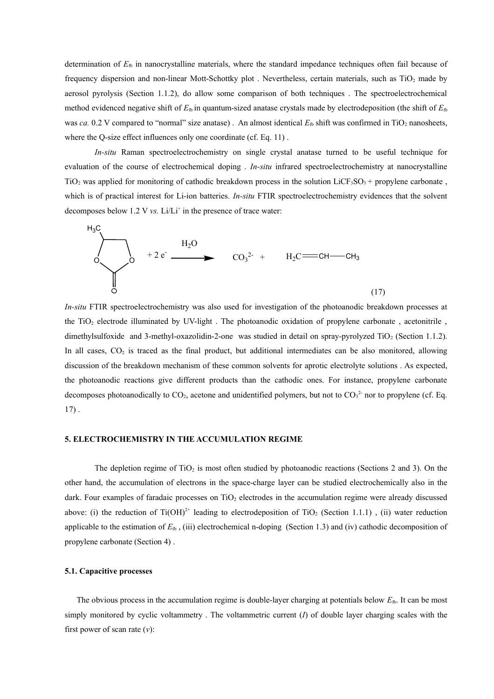determination of  $E_{\text{fb}}$  in nanocrystalline materials, where the standard impedance techniques often fail because of frequency dispersion and non-linear Mott-Schottky plot . Nevertheless, certain materials, such as TiO<sup>2</sup> made by aerosol pyrolysis (Section 1.1.2), do allow some comparison of both techniques . The spectroelectrochemical method evidenced negative shift of  $E_{\text{fb}}$  in quantum-sized anatase crystals made by electrodeposition (the shift of  $E_{\text{fb}}$ ) was *ca.* 0.2 V compared to "normal" size anatase). An almost identical  $E_{\text{fb}}$  shift was confirmed in TiO<sub>2</sub> nanosheets, where the Q-size effect influences only one coordinate (cf. Eq. 11).

*In-situ* Raman spectroelectrochemistry on single crystal anatase turned to be useful technique for evaluation of the course of electrochemical doping . *In-situ* infrared spectroelectrochemistry at nanocrystalline  $TiO<sub>2</sub>$  was applied for monitoring of cathodic breakdown process in the solution LiCF<sub>3</sub>SO<sub>3</sub> + propylene carbonate, which is of practical interest for Li-ion batteries. *In-situ* FTIR spectroelectrochemistry evidences that the solvent decomposes below  $1.2$  V *vs.* Li/Li<sup>+</sup> in the presence of trace water:



*In-situ* FTIR spectroelectrochemistry was also used for investigation of the photoanodic breakdown processes at the TiO<sub>2</sub> electrode illuminated by UV-light. The photoanodic oxidation of propylene carbonate, acetonitrile, dimethylsulfoxide and 3-methyl-oxazolidin-2-one was studied in detail on spray-pyrolyzed TiO<sub>2</sub> (Section 1.1.2). In all cases, CO<sub>2</sub> is traced as the final product, but additional intermediates can be also monitored, allowing discussion of the breakdown mechanism of these common solvents for aprotic electrolyte solutions . As expected, the photoanodic reactions give different products than the cathodic ones. For instance, propylene carbonate decomposes photoanodically to  $CO_2$ , acetone and unidentified polymers, but not to  $CO_3^2$  nor to propylene (cf. Eq. 17) .

#### **5. ELECTROCHEMISTRY IN THE ACCUMULATION REGIME**

The depletion regime of  $TiO<sub>2</sub>$  is most often studied by photoanodic reactions (Sections 2 and 3). On the other hand, the accumulation of electrons in the space-charge layer can be studied electrochemically also in the dark. Four examples of faradaic processes on  $TiO<sub>2</sub>$  electrodes in the accumulation regime were already discussed above: (i) the reduction of Ti(OH)<sup>2+</sup> leading to electrodeposition of TiO<sub>2</sub> (Section 1.1.1), (ii) water reduction applicable to the estimation of  $E_{\text{fb}}$ , (iii) electrochemical n-doping (Section 1.3) and (iv) cathodic decomposition of propylene carbonate (Section 4) .

#### **5.1. Capacitive processes**

The obvious process in the accumulation regime is double-layer charging at potentials below  $E_{\text{fb}}$ . It can be most simply monitored by cyclic voltammetry . The voltammetric current (*I*) of double layer charging scales with the first power of scan rate (*v*):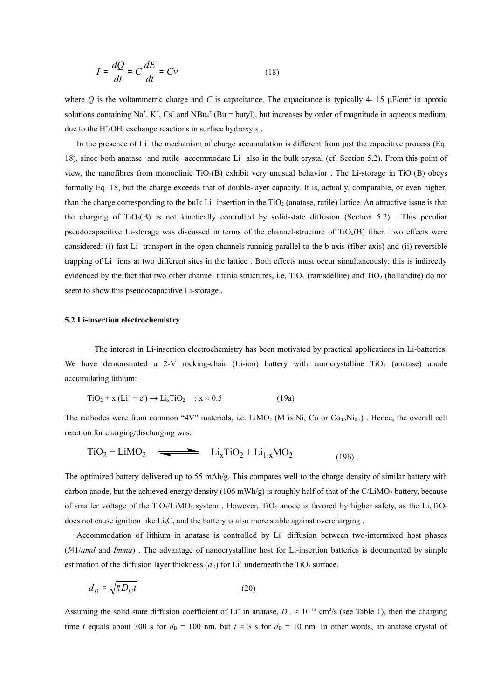$$
I = \frac{dQ}{dt} = C\frac{dE}{dt} = Cv \tag{18}
$$

where Q is the voltammetric charge and C is capacitance. The capacitance is typically 4- 15  $\mu$ F/cm<sup>2</sup> in aprotic solutions containing Na<sup>+</sup>, K<sup>+</sup>, Cs<sup>+</sup> and NBu<sub>4</sub><sup>+</sup> (Bu = butyl), but increases by order of magnitude in aqueous medium, due to the H<sup>+</sup>/OH exchange reactions in surface hydroxyls.

In the presence of  $Li^+$  the mechanism of charge accumulation is different from just the capacitive process (Eq. 18), since both anatase and rutile accommodate  $Li<sup>+</sup>$  also in the bulk crystal (cf. Section 5.2). From this point of view, the nanofibres from monoclinic  $TiO_2(B)$  exhibit very unusual behavior. The Li-storage in  $TiO_2(B)$  obeys formally Eq. 18, but the charge exceeds that of double-layer capacity. It is, actually, comparable, or even higher, than the charge corresponding to the bulk Li<sup>+</sup> insertion in the TiO<sub>2</sub> (anatase, rutile) lattice. An attractive issue is that the charging of  $TiO<sub>2</sub>(B)$  is not kinetically controlled by solid-state diffusion (Section 5.2). This peculiar pseudocapacitive Li-storage was discussed in terms of the channel-structure of TiO2(B) fiber. Two effects were considered: (i) fast Li<sup>+</sup> transport in the open channels running parallel to the b-axis (fiber axis) and (ii) reversible trapping of Li<sup>+</sup> ions at two different sites in the lattice. Both effects must occur simultaneously; this is indirectly evidenced by the fact that two other channel titania structures, i.e.  $TiO<sub>2</sub>$  (ramsdellite) and  $TiO<sub>2</sub>$  (hollandite) do not seem to show this pseudocapacitive Li-storage .

#### **5.2 Li-insertion electrochemistry**

The interest in Li-insertion electrochemistry has been motivated by practical applications in Li-batteries. We have demonstrated a 2-V rocking-chair (Li-ion) battery with nanocrystalline  $TiO<sub>2</sub>$  (anatase) anode accumulating lithium:

$$
TiO2 + x (Li+ + e+) \rightarrow Lix TiO2 ; x \approx 0.5
$$
 (19a)

The cathodes were from common "4V" materials, i.e.  $LiMO<sub>2</sub>$  (M is Ni, Co or  $Co<sub>0.5</sub>Ni<sub>0.5</sub>$ ). Hence, the overall cell reaction for charging/discharging was:

$$
TiO2 + LiMO2 \longrightarrow LixTiO2 + Li1-xMO2
$$
 (19b)

The optimized battery delivered up to 55 mAh/g. This compares well to the charge density of similar battery with carbon anode, but the achieved energy density (106 mWh/g) is roughly half of that of the C/LiMO<sub>2</sub> battery, because of smaller voltage of the TiO<sub>2</sub>/LiMO<sub>2</sub> system . However, TiO<sub>2</sub> anode is favored by higher safety, as the Li<sub>x</sub>TiO<sub>2</sub> does not cause ignition like  $Li<sub>x</sub>C$ , and the battery is also more stable against overcharging.

Accommodation of lithium in anatase is controlled by Li<sup>+</sup> diffusion between two-intermixed host phases (*I*41/*amd* and *Imma*) . The advantage of nanocrystalline host for Li-insertion batteries is documented by simple estimation of the diffusion layer thickness  $(d<sub>D</sub>)$  for Li<sup>+</sup> underneath the TiO<sub>2</sub> surface.

$$
d_D = \sqrt{\pi D_{Li} t} \tag{20}
$$

Assuming the solid state diffusion coefficient of Li<sup>+</sup> in anatase,  $D_{Li} \approx 10^{-13}$  cm<sup>2</sup>/s (see Table 1), then the charging time *t* equals about 300 s for  $d<sub>D</sub> = 100$  nm, but  $t \approx 3$  s for  $d<sub>D</sub> = 10$  nm. In other words, an anatase crystal of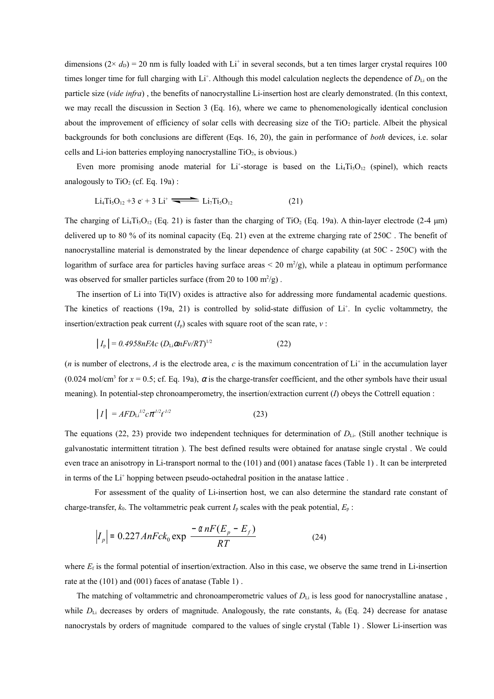dimensions  $(2 \times d_D) = 20$  nm is fully loaded with Li<sup>+</sup> in several seconds, but a ten times larger crystal requires 100 times longer time for full charging with  $Li^+$ . Although this model calculation neglects the dependence of  $D_{Li}$  on the particle size (*vide infra*) , the benefits of nanocrystalline Li-insertion host are clearly demonstrated. (In this context, we may recall the discussion in Section 3 (Eq. 16), where we came to phenomenologically identical conclusion about the improvement of efficiency of solar cells with decreasing size of the  $TiO<sub>2</sub>$  particle. Albeit the physical backgrounds for both conclusions are different (Eqs. 16, 20), the gain in performance of *both* devices, i.e. solar cells and Li-ion batteries employing nanocrystalline TiO<sub>2</sub>, is obvious.)

Even more promising anode material for Li<sup>+</sup>-storage is based on the Li<sub>4</sub>Ti<sub>5</sub>O<sub>12</sub> (spinel), which reacts analogously to  $TiO<sub>2</sub>$  (cf. Eq. 19a) :

$$
Li_4Ti_5O_{12} + 3 e + 3 Li^+ \longrightarrow Li_7Ti_5O_{12}
$$
 (21)

The charging of  $Li_4Ti_5O_{12}$  (Eq. 21) is faster than the charging of TiO<sub>2</sub> (Eq. 19a). A thin-layer electrode (2-4  $\mu$ m) delivered up to 80 % of its nominal capacity (Eq. 21) even at the extreme charging rate of 250C . The benefit of nanocrystalline material is demonstrated by the linear dependence of charge capability (at 50C - 250C) with the logarithm of surface area for particles having surface areas  $\leq 20 \text{ m}^2/\text{g}$ , while a plateau in optimum performance was observed for smaller particles surface (from 20 to 100  $m^2/g$ ).

The insertion of Li into Ti(IV) oxides is attractive also for addressing more fundamental academic questions. The kinetics of reactions  $(19a, 21)$  is controlled by solid-state diffusion of Li<sup>+</sup>. In cyclic voltammetry, the insertion/extraction peak current  $(I_n)$  scales with square root of the scan rate,  $v$ :

$$
|I_{p}| = 0.4958nFAc (D_{Li}\alpha nFv/RT)^{1/2}
$$
 (22)

(*n* is number of electrons, *A* is the electrode area, *c* is the maximum concentration of  $Li^+$  in the accumulation layer (0.024 mol/cm<sup>3</sup> for  $x = 0.5$ ; cf. Eq. 19a),  $\alpha$  is the charge-transfer coefficient, and the other symbols have their usual meaning). In potential-step chronoamperometry, the insertion/extraction current (*I*) obeys the Cottrell equation :

$$
|I| = AFD_{Li}^{1/2} c\pi^{1/2} t^{1/2}
$$
 (23)

The equations (22, 23) provide two independent techniques for determination of  $D_{\text{Li}}$ . (Still another technique is galvanostatic intermittent titration ). The best defined results were obtained for anatase single crystal . We could even trace an anisotropy in Li-transport normal to the (101) and (001) anatase faces (Table 1) . It can be interpreted in terms of the Li<sup>+</sup> hopping between pseudo-octahedral position in the anatase lattice.

For assessment of the quality of Li-insertion host, we can also determine the standard rate constant of charge-transfer,  $k_0$ . The voltammetric peak current  $I_p$  scales with the peak potential,  $E_p$ :

$$
\left|I_p\right| = 0.227 \text{AnFck}_0 \exp\left[\frac{-\alpha nF(E_p - E_f)}{RT}\right] \tag{24}
$$

where  $E_f$  is the formal potential of insertion/extraction. Also in this case, we observe the same trend in Li-insertion rate at the (101) and (001) faces of anatase (Table 1) .

The matching of voltammetric and chronoamperometric values of  $D_{\text{Li}}$  is less good for nanocrystalline anatase, while  $D_{\text{Li}}$  decreases by orders of magnitude. Analogously, the rate constants,  $k_0$  (Eq. 24) decrease for anatase nanocrystals by orders of magnitude compared to the values of single crystal (Table 1) . Slower Li-insertion was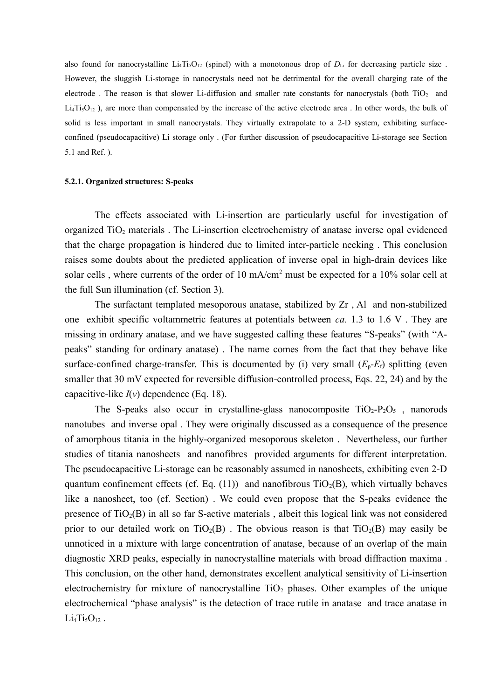also found for nanocrystalline  $Li<sub>4</sub>T<sub>15</sub>O<sub>12</sub>$  (spinel) with a monotonous drop of  $D<sub>Li</sub>$  for decreasing particle size. However, the sluggish Li-storage in nanocrystals need not be detrimental for the overall charging rate of the electrode. The reason is that slower Li-diffusion and smaller rate constants for nanocrystals (both TiO<sub>2</sub> and  $Li<sub>4</sub>Ti<sub>5</sub>O<sub>12</sub>$ ), are more than compensated by the increase of the active electrode area . In other words, the bulk of solid is less important in small nanocrystals. They virtually extrapolate to a 2-D system, exhibiting surfaceconfined (pseudocapacitive) Li storage only . (For further discussion of pseudocapacitive Li-storage see Section 5.1 and Ref. ).

#### **5.2.1. Organized structures: S-peaks**

The effects associated with Li-insertion are particularly useful for investigation of organized TiO<sup>2</sup> materials . The Li-insertion electrochemistry of anatase inverse opal evidenced that the charge propagation is hindered due to limited inter-particle necking . This conclusion raises some doubts about the predicted application of inverse opal in high-drain devices like solar cells, where currents of the order of 10 mA/cm<sup>2</sup> must be expected for a 10% solar cell at the full Sun illumination (cf. Section 3).

The surfactant templated mesoporous anatase, stabilized by Zr , Al and non-stabilized one exhibit specific voltammetric features at potentials between *ca.* 1.3 to 1.6 V . They are missing in ordinary anatase, and we have suggested calling these features "S-peaks" (with "Apeaks" standing for ordinary anatase) . The name comes from the fact that they behave like surface-confined charge-transfer. This is documented by (i) very small  $(E_p-E_f)$  splitting (even smaller that 30 mV expected for reversible diffusion-controlled process, Eqs. 22, 24) and by the capacitive-like *I*(*v*) dependence (Eq. 18).

The S-peaks also occur in crystalline-glass nanocomposite  $TiO<sub>2</sub>-P<sub>2</sub>O<sub>5</sub>$ , nanorods nanotubes and inverse opal . They were originally discussed as a consequence of the presence of amorphous titania in the highly-organized mesoporous skeleton . Nevertheless, our further studies of titania nanosheets and nanofibres provided arguments for different interpretation. The pseudocapacitive Li-storage can be reasonably assumed in nanosheets, exhibiting even 2-D quantum confinement effects (cf. Eq. (11)) and nanofibrous  $TiO<sub>2</sub>(B)$ , which virtually behaves like a nanosheet, too (cf. Section) . We could even propose that the S-peaks evidence the presence of  $TiO<sub>2</sub>(B)$  in all so far S-active materials, albeit this logical link was not considered prior to our detailed work on  $TiO<sub>2</sub>(B)$ . The obvious reason is that  $TiO<sub>2</sub>(B)$  may easily be unnoticed in a mixture with large concentration of anatase, because of an overlap of the main diagnostic XRD peaks, especially in nanocrystalline materials with broad diffraction maxima . This conclusion, on the other hand, demonstrates excellent analytical sensitivity of Li-insertion electrochemistry for mixture of nanocrystalline  $TiO<sub>2</sub>$  phases. Other examples of the unique electrochemical "phase analysis" is the detection of trace rutile in anatase and trace anatase in  $Li<sub>4</sub>Ti<sub>5</sub>O<sub>12</sub>$ .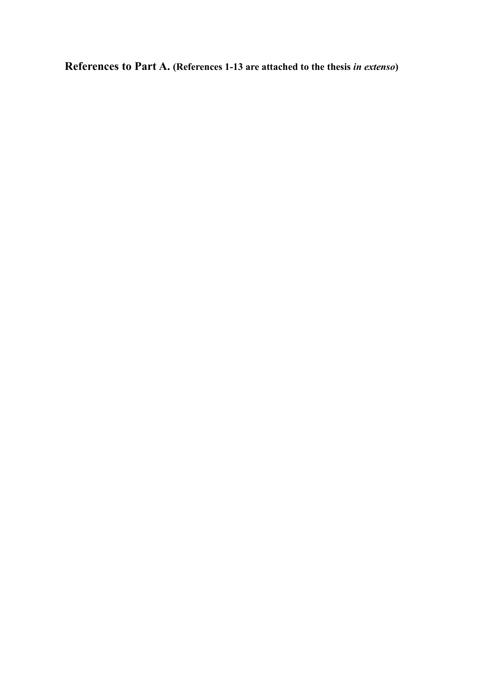**References to Part A. (References 1-13 are attached to the thesis** *in extenso***)**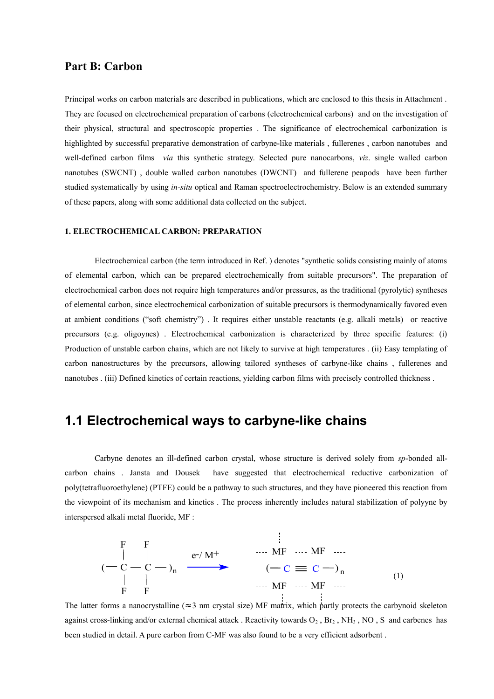#### **Part B: Carbon**

Principal works on carbon materials are described in publications, which are enclosed to this thesis in Attachment . They are focused on electrochemical preparation of carbons (electrochemical carbons) and on the investigation of their physical, structural and spectroscopic properties . The significance of electrochemical carbonization is highlighted by successful preparative demonstration of carbyne-like materials , fullerenes , carbon nanotubes and well-defined carbon films *via* this synthetic strategy. Selected pure nanocarbons, *viz*. single walled carbon nanotubes (SWCNT) , double walled carbon nanotubes (DWCNT) and fullerene peapods have been further studied systematically by using *in-situ* optical and Raman spectroelectrochemistry. Below is an extended summary of these papers, along with some additional data collected on the subject.

#### **1. ELECTROCHEMICAL CARBON: PREPARATION**

Electrochemical carbon (the term introduced in Ref. ) denotes "synthetic solids consisting mainly of atoms of elemental carbon, which can be prepared electrochemically from suitable precursors". The preparation of electrochemical carbon does not require high temperatures and/or pressures, as the traditional (pyrolytic) syntheses of elemental carbon, since electrochemical carbonization of suitable precursors is thermodynamically favored even at ambient conditions ("soft chemistry") . It requires either unstable reactants (e.g. alkali metals) or reactive precursors (e.g. oligoynes) . Electrochemical carbonization is characterized by three specific features: (i) Production of unstable carbon chains, which are not likely to survive at high temperatures . (ii) Easy templating of carbon nanostructures by the precursors, allowing tailored syntheses of carbyne-like chains , fullerenes and nanotubes . (iii) Defined kinetics of certain reactions, yielding carbon films with precisely controlled thickness .

### **1.1 Electrochemical ways to carbyne-like chains**

Carbyne denotes an ill-defined carbon crystal, whose structure is derived solely from *sp*-bonded allcarbon chains . Jansta and Dousek have suggested that electrochemical reductive carbonization of poly(tetrafluoroethylene) (PTFE) could be a pathway to such structures, and they have pioneered this reaction from the viewpoint of its mechanism and kinetics . The process inherently includes natural stabilization of polyyne by interspersed alkali metal fluoride, MF :

$$
\begin{array}{ccc}\n & F & F \\
& | & | & \text{e-/M}^+ \\
& C - C - C - D_n & \xrightarrow{\hspace{1cm}} \mathsf{M} \mathsf{F} \hspace{0.1cm} \cdots \hspace{0.1cm} \mathsf{M} \mathsf{F} \hspace{0.1cm} \cdots \text{e-} \ \mathsf{M} \mathsf{F} \ \cdots \text{e-} \ \mathsf{M} \mathsf{F} \hspace{0.1cm} \cdots \ \mathsf{M} \mathsf{F} \hspace{0.1cm} \cdots \ \mathsf{M} \mathsf{F} \hspace{0.1cm} \cdots \ \mathsf{M} \mathsf{F} \hspace{0.1cm} \cdots \ \mathsf{M} \mathsf{F} \hspace{0.1cm} \cdots \end{array} \tag{1}
$$

The latter forms a nanocrystalline ( $\approx 3$  nm crystal size) MF matrix, which partly protects the carbynoid skeleton against cross-linking and/or external chemical attack. Reactivity towards  $O_2$ ,  $Br_2$ ,  $NH_3$ , NO, S and carbenes has been studied in detail. A pure carbon from C-MF was also found to be a very efficient adsorbent .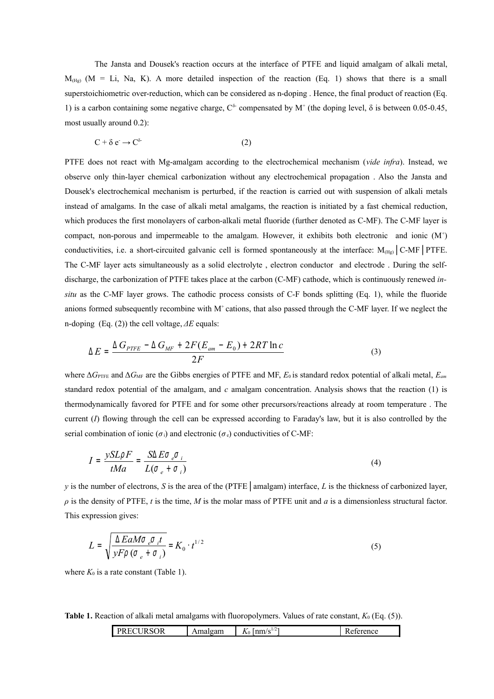The Jansta and Dousek's reaction occurs at the interface of PTFE and liquid amalgam of alkali metal,  $M_{(Hg)}$  (M = Li, Na, K). A more detailed inspection of the reaction (Eq. 1) shows that there is a small superstoichiometric over-reduction, which can be considered as n-doping. Hence, the final product of reaction (Eq. 1) is a carbon containing some negative charge,  $C^{\delta}$  compensated by M<sup>+</sup> (the doping level,  $\delta$  is between 0.05-0.45, most usually around 0.2):

$$
C + \delta e \rightarrow C^{\delta} \tag{2}
$$

PTFE does not react with Mg-amalgam according to the electrochemical mechanism (*vide infra*). Instead, we observe only thin-layer chemical carbonization without any electrochemical propagation . Also the Jansta and Dousek's electrochemical mechanism is perturbed, if the reaction is carried out with suspension of alkali metals instead of amalgams. In the case of alkali metal amalgams, the reaction is initiated by a fast chemical reduction, which produces the first monolayers of carbon-alkali metal fluoride (further denoted as C-MF). The C-MF layer is compact, non-porous and impermeable to the amalgam. However, it exhibits both electronic and ionic (M<sup>+</sup> ) conductivities, i.e. a short-circuited galvanic cell is formed spontaneously at the interface:  $M_{(Hg)}$  C-MF | PTFE. The C-MF layer acts simultaneously as a solid electrolyte , electron conductor and electrode . During the selfdischarge, the carbonization of PTFE takes place at the carbon (C-MF) cathode, which is continuously renewed *insitu* as the C-MF layer grows. The cathodic process consists of C-F bonds splitting (Eq. 1), while the fluoride anions formed subsequently recombine with  $M^+$  cations, that also passed through the C-MF layer. If we neglect the n-doping (Eq. (2)) the cell voltage, *ΔE* equals:

$$
\Delta E = \frac{\Delta G_{PITE} - \Delta G_{MF} + 2F(E_{am} - E_0) + 2RT \ln c}{2F} \tag{3}
$$

where Δ*G*PTFE and Δ*G*MF are the Gibbs energies of PTFE and MF, *E*<sup>0</sup> is standard redox potential of alkali metal, *Eam* standard redox potential of the amalgam, and *c* amalgam concentration. Analysis shows that the reaction (1) is thermodynamically favored for PTFE and for some other precursors/reactions already at room temperature . The current (*I*) flowing through the cell can be expressed according to Faraday's law, but it is also controlled by the serial combination of ionic ( $\sigma_i$ ) and electronic ( $\sigma_e$ ) conductivities of C-MF:

$$
I = \frac{ySL\rho F}{tMa} = \frac{S\Delta E\sigma \rho \sigma_i}{L(\sigma \rho + \sigma_i)}
$$
(4)

*y* is the number of electrons, *S* is the area of the (PTFE | amalgam) interface, *L* is the thickness of carbonized layer, *ρ* is the density of PTFE, *t* is the time, *M* is the molar mass of PTFE unit and *a* is a dimensionless structural factor. This expression gives:

$$
L = \sqrt{\frac{\Delta E a M \sigma_e \sigma_i t}{\gamma F \rho (\sigma_e + \sigma_i)}} = K_0 \cdot t^{1/2}
$$
\n<sup>(5)</sup>

where  $K_0$  is a rate constant (Table 1).

**Table 1.** Reaction of alkali metal amalgams with fluoropolymers. Values of rate constant,  $K_0$  (Eq. (5)).

|  | $^{\circ}$ OR<br><b>TT</b><br>∼<br><b>.</b> | яп<br>. . | $-$<br>$1 - 11$<br>. .<br>$-v$ . | ייוני. |
|--|---------------------------------------------|-----------|----------------------------------|--------|
|--|---------------------------------------------|-----------|----------------------------------|--------|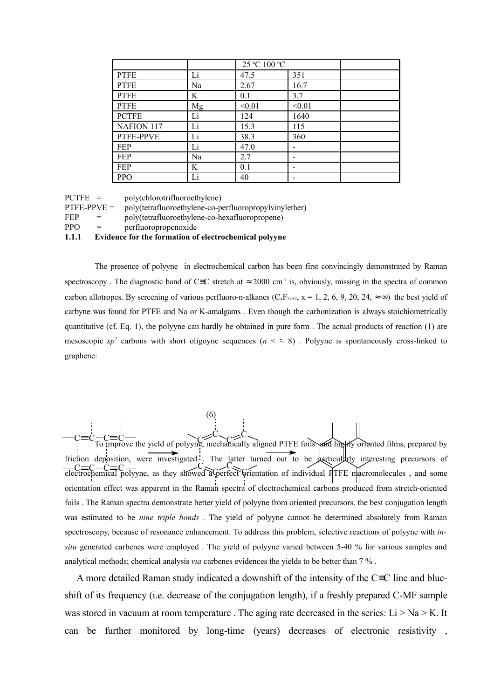|              |    | 25 °C 100 °C |        |  |
|--------------|----|--------------|--------|--|
| <b>PTFE</b>  | Li | 47.5         | 351    |  |
| <b>PTFE</b>  | Na | 2.67         | 16.7   |  |
| <b>PTFE</b>  | K  | 0.1          | 3.7    |  |
| <b>PTFE</b>  | Mg | < 0.01       | < 0.01 |  |
| <b>PCTFE</b> | Li | 124          | 1640   |  |
| NAFION 117   | Li | 15.3         | 115    |  |
| PTFE-PPVE    | Li | 38.3         | 360    |  |
| FEP          | Li | 47.0         |        |  |
| FEP          | Na | 2.7          |        |  |
| <b>FEP</b>   | K  | 0.1          |        |  |
| <b>PPO</b>   | Li | 40           |        |  |

PCTFE = poly(chlorotrifluoroethylene)

 $PTFE-PPVE = poly(tetrafluoroethylene-co-perfluoropropylvinylether)$ 

FEP = poly(tetrafluoroethylene-co-hexafluoropropene)

PPO = perfluoropropenoxide

#### **1.1.1 Evidence for the formation of electrochemical polyyne**

The presence of polyyne in electrochemical carbon has been first convincingly demonstrated by Raman spectroscopy. The diagnostic band of C≡C stretch at  $\approx 2000$  cm<sup>-1</sup> is, obviously, missing in the spectra of common carbon allotropes. By screening of various perfluoro-n-alkanes (C<sub>x</sub>F<sub>2x+2</sub>, x = 1, 2, 6, 9, 20, 24,  $\approx \infty$ ) the best yield of carbyne was found for PTFE and Na or K-amalgams . Even though the carbonization is always stoichiometrically quantitative (cf. Eq. 1), the polyyne can hardly be obtained in pure form . The actual products of reaction (1) are mesoscopic  $sp^2$  carbons with short oligoyne sequences  $(n \leq s)$ . Polyyne is spontaneously cross-linked to graphene:

(6)  $C = C = C - C$ <br>To improve the yield of polyyne, mechanically aligned PTFE foils and highly oriented films, prepared by friction deposition, were investigated. The latter turned out to be particularly interesting precursors of  $C = C = C$  C<br>electrochemical polyyne, as they showed a perfect orientation of individual PTFE macromolecules, and some orientation effect was apparent in the Raman spectra of electrochemical carbons produced from stretch-oriented foils . The Raman spectra demonstrate better yield of polyyne from oriented precursors, the best conjugation length was estimated to be *nine triple bonds* . The yield of polyyne cannot be determined absolutely from Raman spectroscopy, because of resonance enhancement. To address this problem, selective reactions of polyyne with *insitu* generated carbenes were employed . The yield of polyyne varied between 5-40 % for various samples and analytical methods; chemical analysis *via* carbenes evidences the yields to be better than 7 % .

A more detailed Raman study indicated a downshift of the intensity of the C≡C line and blueshift of its frequency (i.e. decrease of the conjugation length), if a freshly prepared C-MF sample was stored in vacuum at room temperature. The aging rate decreased in the series:  $Li > Na > K$ . It can be further monitored by long-time (years) decreases of electronic resistivity ,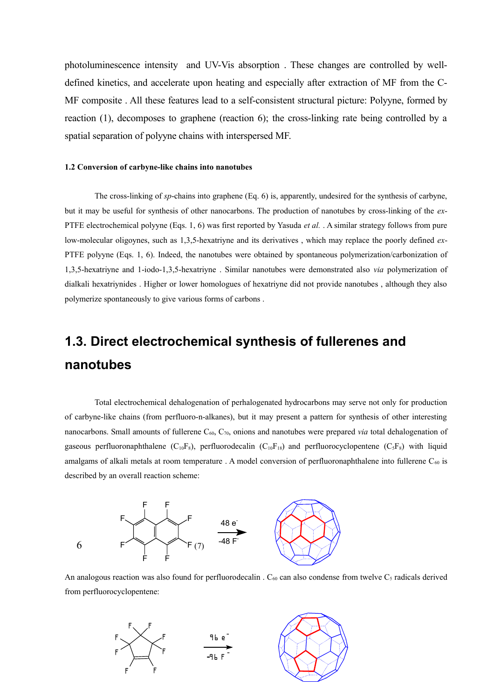photoluminescence intensity and UV-Vis absorption . These changes are controlled by welldefined kinetics, and accelerate upon heating and especially after extraction of MF from the C-MF composite . All these features lead to a self-consistent structural picture: Polyyne, formed by reaction (1), decomposes to graphene (reaction 6); the cross-linking rate being controlled by a spatial separation of polyyne chains with interspersed MF.

#### **1.2 Conversion of carbyne-like chains into nanotubes**

The cross-linking of *sp*-chains into graphene (Eq. 6) is, apparently, undesired for the synthesis of carbyne, but it may be useful for synthesis of other nanocarbons. The production of nanotubes by cross-linking of the *ex*-PTFE electrochemical polyyne (Eqs. 1, 6) was first reported by Yasuda *et al.* . A similar strategy follows from pure low-molecular oligoynes, such as 1,3,5-hexatriyne and its derivatives , which may replace the poorly defined *ex*-PTFE polyyne (Eqs. 1, 6). Indeed, the nanotubes were obtained by spontaneous polymerization/carbonization of 1,3,5-hexatriyne and 1-iodo-1,3,5-hexatriyne . Similar nanotubes were demonstrated also *via* polymerization of dialkali hexatriynides . Higher or lower homologues of hexatriyne did not provide nanotubes , although they also polymerize spontaneously to give various forms of carbons .

## **1.3. Direct electrochemical synthesis of fullerenes and nanotubes**

Total electrochemical dehalogenation of perhalogenated hydrocarbons may serve not only for production of carbyne-like chains (from perfluoro-n-alkanes), but it may present a pattern for synthesis of other interesting nanocarbons. Small amounts of fullerene C<sub>60</sub>, C<sub>70</sub>, onions and nanotubes were prepared *via* total dehalogenation of gaseous perfluoronaphthalene ( $C_{10}F_8$ ), perfluorodecalin ( $C_{10}F_{18}$ ) and perfluorocyclopentene ( $C_5F_8$ ) with liquid amalgams of alkali metals at room temperature . A model conversion of perfluoronaphthalene into fullerene  $C_{60}$  is described by an overall reaction scheme:



An analogous reaction was also found for perfluorodecalin .  $C_{60}$  can also condense from twelve  $C_5$  radicals derived from perfluorocyclopentene:

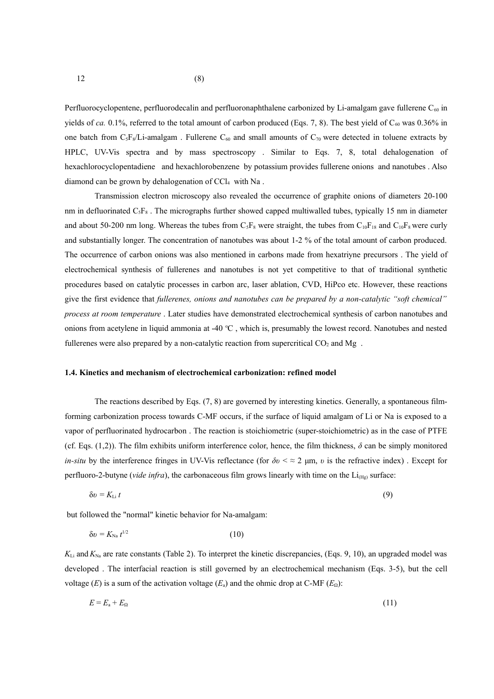Perfluorocyclopentene, perfluorodecalin and perfluoronaphthalene carbonized by Li-amalgam gave fullerene  $C_{60}$  in yields of *ca.* 0.1%, referred to the total amount of carbon produced (Eqs. 7, 8). The best yield of  $C_{60}$  was 0.36% in one batch from  $C_5F_8/Li$ -amalgam. Fullerene  $C_{60}$  and small amounts of  $C_{70}$  were detected in toluene extracts by HPLC, UV-Vis spectra and by mass spectroscopy . Similar to Eqs. 7, 8, total dehalogenation of hexachlorocyclopentadiene and hexachlorobenzene by potassium provides fullerene onions and nanotubes . Also diamond can be grown by dehalogenation of CCl<sub>4</sub> with Na.

Transmission electron microscopy also revealed the occurrence of graphite onions of diameters 20-100 nm in defluorinated C<sub>5</sub>F<sub>8</sub>. The micrographs further showed capped multiwalled tubes, typically 15 nm in diameter and about 50-200 nm long. Whereas the tubes from  $C_5F_8$  were straight, the tubes from  $C_{10}F_{18}$  and  $C_{10}F_8$  were curly and substantially longer. The concentration of nanotubes was about 1-2 % of the total amount of carbon produced. The occurrence of carbon onions was also mentioned in carbons made from hexatriyne precursors . The yield of electrochemical synthesis of fullerenes and nanotubes is not yet competitive to that of traditional synthetic procedures based on catalytic processes in carbon arc, laser ablation, CVD, HiPco etc. However, these reactions give the first evidence that *fullerenes, onions and nanotubes can be prepared by a non-catalytic "soft chemical" process at room temperature* . Later studies have demonstrated electrochemical synthesis of carbon nanotubes and onions from acetylene in liquid ammonia at -40  $^{\circ}$ C, which is, presumably the lowest record. Nanotubes and nested fullerenes were also prepared by a non-catalytic reaction from supercritical  $CO<sub>2</sub>$  and Mg.

#### **1.4. Kinetics and mechanism of electrochemical carbonization: refined model**

The reactions described by Eqs. (7, 8) are governed by interesting kinetics. Generally, a spontaneous filmforming carbonization process towards C-MF occurs, if the surface of liquid amalgam of Li or Na is exposed to a vapor of perfluorinated hydrocarbon . The reaction is stoichiometric (super-stoichiometric) as in the case of PTFE (cf. Eqs.  $(1,2)$ ). The film exhibits uniform interference color, hence, the film thickness,  $\delta$  can be simply monitored *in-situ* by the interference fringes in UV-Vis reflectance (for  $\delta v \leq 2 \mu m$ , *v* is the refractive index). Except for perfluoro-2-butyne (*vide infra*), the carbonaceous film grows linearly with time on the Li<sub>(Hg)</sub> surface:

$$
\delta v = K_{\text{Li}} t \tag{9}
$$

but followed the "normal" kinetic behavior for Na-amalgam:

$$
\delta v = K_{\text{Na}} t^{1/2} \tag{10}
$$

 $K_{Li}$  and  $K_{Na}$  are rate constants (Table 2). To interpret the kinetic discrepancies, (Eqs. 9, 10), an upgraded model was developed . The interfacial reaction is still governed by an electrochemical mechanism (Eqs. 3-5), but the cell voltage (*E*) is a sum of the activation voltage ( $E_a$ ) and the ohmic drop at C-MF ( $E_\Omega$ ):

$$
E = E_a + E_\Omega \tag{11}
$$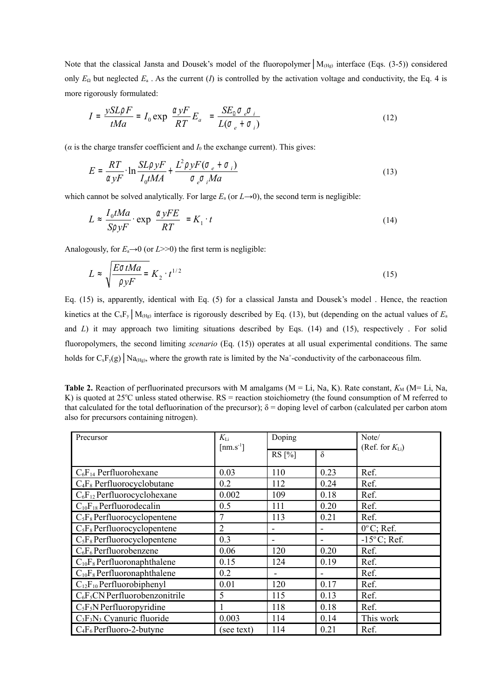Note that the classical Jansta and Dousek's model of the fluoropolymer | M<sub>(Hg)</sub> interface (Eqs. (3-5)) considered only  $E_{\Omega}$  but neglected  $E_{\alpha}$ . As the current (*I*) is controlled by the activation voltage and conductivity, the Eq. 4 is more rigorously formulated:

$$
I = \frac{ySL\rho F}{tMa} = I_0 \exp\left(\frac{\alpha yF}{RT}E_a\right) = \frac{SE_0 \sigma \sigma_i}{L(\sigma_e + \sigma_i)}
$$
(12)

( $\alpha$  is the charge transfer coefficient and  $I_0$  the exchange current). This gives:

$$
E = \frac{RT}{\alpha yF} \cdot \ln \frac{SL\rho yF}{I_0 tMA} + \frac{L^2\rho yF(\sigma_e + \sigma_i)}{\sigma_e \sigma_i Ma}
$$
(13)

which cannot be solved analytically. For large  $E_a$  (or  $L\rightarrow 0$ ), the second term is negligible:

$$
L \approx \frac{I_0 t Ma}{SpyF} \cdot \exp\left(\frac{\alpha yFE}{RT}\right) = K_1 \cdot t \tag{14}
$$

Analogously, for  $E_a \rightarrow 0$  (or  $L \rightarrow 0$ ) the first term is negligible:

$$
L \approx \sqrt{\frac{E \sigma t Ma}{\rho y F}} = K_2 \cdot t^{1/2}
$$
 (15)

Eq. (15) is, apparently, identical with Eq. (5) for a classical Jansta and Dousek's model . Hence, the reaction kinetics at the CxFy│M(Hg) interface is rigorously described by Eq. (13), but (depending on the actual values of *E*<sup>a</sup> and *L*) it may approach two limiting situations described by Eqs. (14) and (15), respectively . For solid fluoropolymers, the second limiting *scenario* (Eq. (15)) operates at all usual experimental conditions. The same holds for  $C_xF_y(g)$   $\vert$  Na<sub>(Hg)</sub>, where the growth rate is limited by the Na<sup>+</sup>-conductivity of the carbonaceous film.

**Table 2.** Reaction of perfluorinated precursors with M amalgams  $(M = Li, Na, K)$ . Rate constant,  $K_M (M = Li, Na, K)$ K) is quoted at  $25^{\circ}$ C unless stated otherwise.  $RS =$  reaction stoichiometry (the found consumption of M referred to that calculated for the total defluorination of the precursor);  $\delta$  = doping level of carbon (calculated per carbon atom also for precursors containing nitrogen).

| Precursor                        | $K_{\rm Li}$                  | Doping   |                | Note/                 |  |
|----------------------------------|-------------------------------|----------|----------------|-----------------------|--|
|                                  | $\lceil$ nm.s <sup>-1</sup> ] | $RS[\%]$ | $\delta$       | (Ref. for $K_{Li}$ )  |  |
| $C_6F_{14}$ Perfluorohexane      | 0.03                          | 110      | 0.23           | Ref.                  |  |
| $C_4F_8$ Perfluorocyclobutane    | 0.2                           | 112      | 0.24           | Ref.                  |  |
| $C_6F_{12}$ Perfluorocyclohexane | 0.002                         | 109      | 0.18           | Ref.                  |  |
| $C_{10}F_{18}$ Perfluorodecalin  | 0.5                           | 111      | 0.20           | Ref.                  |  |
| $C_5F_8$ Perfluorocyclopentene   | 7                             | 113      | 0.21           | Ref.                  |  |
| $C_5F_8$ Perfluorocyclopentene   | $\overline{2}$                |          |                | $0^{\circ}$ C; Ref.   |  |
| $C_5F_8$ Perfluorocyclopentene   | 0.3                           | -        |                | $-15^{\circ}$ C; Ref. |  |
| $C_6F_6$ Perfluorobenzene        | 0.06                          | 120      | 0.20           | Ref.                  |  |
| $C_{10}F_8$ Perfluoronaphthalene | 0.15                          | 124      | 0.19           | Ref.                  |  |
| $C_{10}F_8$ Perfluoronaphthalene | 0.2                           | ۰        | $\blacksquare$ | Ref.                  |  |
| $C_{12}F_{10}$ Perfluorobiphenyl | 0.01                          | 120      | 0.17           | Ref.                  |  |
| $C_6F_5CN$ Perfluorobenzonitrile | 5                             | 115      | 0.13           | Ref.                  |  |
| $C_5F_5N$ Perfluoropyridine      | 1                             | 118      | 0.18           | Ref.                  |  |
| $C_3F_3N_3$ Cyanuric fluoride    | 0.003                         | 114      | 0.14           | This work             |  |
| $C_4F_6$ Perfluoro-2-butyne      | (see text)                    | 114      | 0.21           | Ref.                  |  |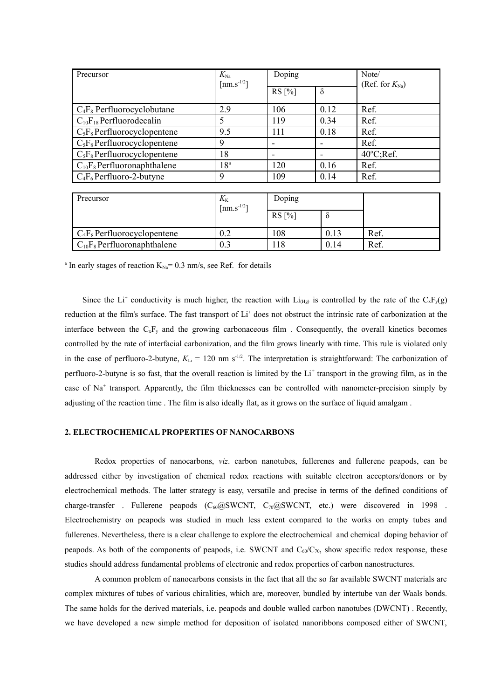| Precursor                        | $K_{\rm Na}$<br>$\left[\text{nm.s}^{-1/2}\right]$ | Doping   |          | Note/<br>(Ref. for $K_{\text{Na}}$ ) |
|----------------------------------|---------------------------------------------------|----------|----------|--------------------------------------|
|                                  |                                                   | $RS[\%]$ | $\delta$ |                                      |
| $C_4F_8$ Perfluorocyclobutane    | 2.9                                               | 106      | 0.12     | Ref.                                 |
| $C_{10}F_{18}$ Perfluorodecalin  | 5                                                 | 119      | 0.34     | Ref.                                 |
| $C_5F_8$ Perfluorocyclopentene   | 9.5                                               | 111      | 0.18     | Ref.                                 |
| $C_5F_8$ Perfluorocyclopentene   | 9                                                 |          |          | Ref.                                 |
| $C_5F_8$ Perfluorocyclopentene   | 18                                                |          |          | $40^{\circ}$ C;Ref.                  |
| $C_{10}F_8$ Perfluoronaphthalene | $8^a$                                             | 120      | 0.16     | Ref.                                 |
| $C_4F_6$ Perfluoro-2-butyne      | 9                                                 | 109      | 0.14     | Ref.                                 |

| Precursor                        | $K_{\rm K}$<br>$1 \text{ nm}$ . $\text{s}^{-1/2}$ | Doping   |      |      |
|----------------------------------|---------------------------------------------------|----------|------|------|
|                                  |                                                   | $RS[\%]$ |      |      |
| $C_5F_8$ Perfluorocyclopentene   |                                                   | .08      | 0.13 | Ref. |
| $C_{10}F_8$ Perfluoronaphthalene | 0.3                                               | 18       | 0.14 | Ref. |

<sup>a</sup> In early stages of reaction  $K_{Na} = 0.3$  nm/s, see Ref. for details

Since the Li<sup>+</sup> conductivity is much higher, the reaction with Li<sub>(Hg)</sub> is controlled by the rate of the C<sub>x</sub>F<sub>y</sub>(g) reduction at the film's surface. The fast transport of Li<sup>+</sup> does not obstruct the intrinsic rate of carbonization at the interface between the  $C_xF_y$  and the growing carbonaceous film. Consequently, the overall kinetics becomes controlled by the rate of interfacial carbonization, and the film grows linearly with time. This rule is violated only in the case of perfluoro-2-butyne,  $K_{Li} = 120$  nm s<sup>-1/2</sup>. The interpretation is straightforward: The carbonization of perfluoro-2-butyne is so fast, that the overall reaction is limited by the Li<sup>+</sup> transport in the growing film, as in the case of Na<sup>+</sup> transport. Apparently, the film thicknesses can be controlled with nanometer-precision simply by adjusting of the reaction time . The film is also ideally flat, as it grows on the surface of liquid amalgam .

#### **2. ELECTROCHEMICAL PROPERTIES OF NANOCARBONS**

Redox properties of nanocarbons, *viz*. carbon nanotubes, fullerenes and fullerene peapods, can be addressed either by investigation of chemical redox reactions with suitable electron acceptors/donors or by electrochemical methods. The latter strategy is easy, versatile and precise in terms of the defined conditions of charge-transfer . Fullerene peapods ( $C_{60}$ @SWCNT,  $C_{70}$ @SWCNT, etc.) were discovered in 1998 . Electrochemistry on peapods was studied in much less extent compared to the works on empty tubes and fullerenes. Nevertheless, there is a clear challenge to explore the electrochemical and chemical doping behavior of peapods. As both of the components of peapods, i.e. SWCNT and  $C_{60}/C_{70}$ , show specific redox response, these studies should address fundamental problems of electronic and redox properties of carbon nanostructures.

A common problem of nanocarbons consists in the fact that all the so far available SWCNT materials are complex mixtures of tubes of various chiralities, which are, moreover, bundled by intertube van der Waals bonds. The same holds for the derived materials, i.e. peapods and double walled carbon nanotubes (DWCNT) . Recently, we have developed a new simple method for deposition of isolated nanoribbons composed either of SWCNT,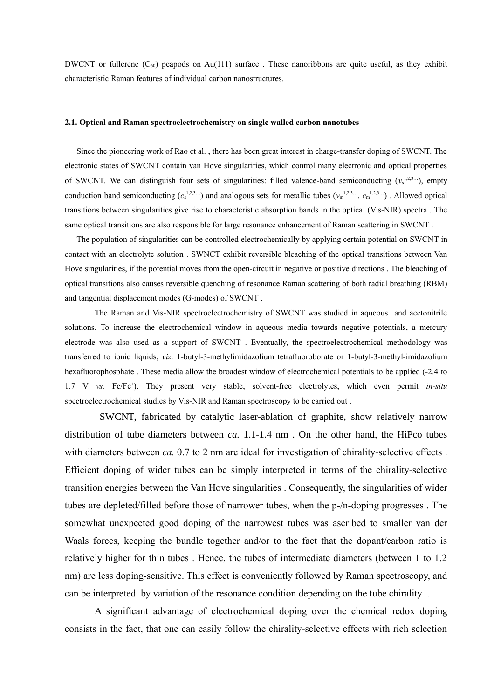DWCNT or fullerene  $(C_{60})$  peapods on Au(111) surface. These nanoribbons are quite useful, as they exhibit characteristic Raman features of individual carbon nanostructures.

#### **2.1. Optical and Raman spectroelectrochemistry on single walled carbon nanotubes**

Since the pioneering work of Rao et al. , there has been great interest in charge-transfer doping of SWCNT. The electronic states of SWCNT contain van Hove singularities, which control many electronic and optical properties of SWCNT. We can distinguish four sets of singularities: filled valence-band semiconducting  $(v_s^{1,2,3...})$ , empty conduction band semiconducting  $(c_s^{1,2,3...})$  and analogous sets for metallic tubes  $(v_m^{1,2,3...}, c_m^{1,2,3...})$ . Allowed optical transitions between singularities give rise to characteristic absorption bands in the optical (Vis-NIR) spectra . The same optical transitions are also responsible for large resonance enhancement of Raman scattering in SWCNT .

The population of singularities can be controlled electrochemically by applying certain potential on SWCNT in contact with an electrolyte solution . SWNCT exhibit reversible bleaching of the optical transitions between Van Hove singularities, if the potential moves from the open-circuit in negative or positive directions . The bleaching of optical transitions also causes reversible quenching of resonance Raman scattering of both radial breathing (RBM) and tangential displacement modes (G-modes) of SWCNT .

The Raman and Vis-NIR spectroelectrochemistry of SWCNT was studied in aqueous and acetonitrile solutions. To increase the electrochemical window in aqueous media towards negative potentials, a mercury electrode was also used as a support of SWCNT . Eventually, the spectroelectrochemical methodology was transferred to ionic liquids, *viz*. 1-butyl-3-methylimidazolium tetrafluoroborate or 1-butyl-3-methyl-imidazolium hexafluorophosphate . These media allow the broadest window of electrochemical potentials to be applied (-2.4 to 1.7 V *vs.* Fc/Fc + ). They present very stable, solvent-free electrolytes, which even permit *in-situ* spectroelectrochemical studies by Vis-NIR and Raman spectroscopy to be carried out .

SWCNT, fabricated by catalytic laser-ablation of graphite, show relatively narrow distribution of tube diameters between *ca.* 1.1-1.4 nm . On the other hand, the HiPco tubes with diameters between *ca*. 0.7 to 2 nm are ideal for investigation of chirality-selective effects. Efficient doping of wider tubes can be simply interpreted in terms of the chirality-selective transition energies between the Van Hove singularities . Consequently, the singularities of wider tubes are depleted/filled before those of narrower tubes, when the p-/n-doping progresses . The somewhat unexpected good doping of the narrowest tubes was ascribed to smaller van der Waals forces, keeping the bundle together and/or to the fact that the dopant/carbon ratio is relatively higher for thin tubes . Hence, the tubes of intermediate diameters (between 1 to 1.2 nm) are less doping-sensitive. This effect is conveniently followed by Raman spectroscopy, and can be interpreted by variation of the resonance condition depending on the tube chirality .

A significant advantage of electrochemical doping over the chemical redox doping consists in the fact, that one can easily follow the chirality-selective effects with rich selection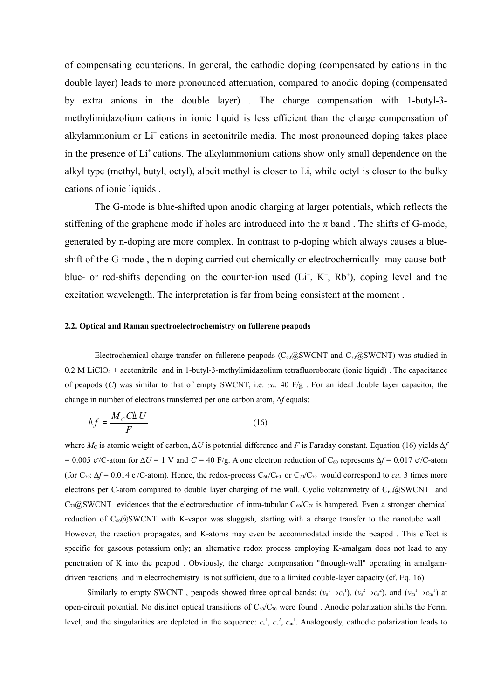of compensating counterions. In general, the cathodic doping (compensated by cations in the double layer) leads to more pronounced attenuation, compared to anodic doping (compensated by extra anions in the double layer) . The charge compensation with 1-butyl-3 methylimidazolium cations in ionic liquid is less efficient than the charge compensation of alkylammonium or Li<sup>+</sup> cations in acetonitrile media. The most pronounced doping takes place in the presence of Li<sup>+</sup> cations. The alkylammonium cations show only small dependence on the alkyl type (methyl, butyl, octyl), albeit methyl is closer to Li, while octyl is closer to the bulky cations of ionic liquids .

The G-mode is blue-shifted upon anodic charging at larger potentials, which reflects the stiffening of the graphene mode if holes are introduced into the  $\pi$  band. The shifts of G-mode, generated by n-doping are more complex. In contrast to p-doping which always causes a blueshift of the G-mode , the n-doping carried out chemically or electrochemically may cause both blue- or red-shifts depending on the counter-ion used  $(Li^+, K^+, Rb^+)$ , doping level and the excitation wavelength. The interpretation is far from being consistent at the moment .

#### **2.2. Optical and Raman spectroelectrochemistry on fullerene peapods**

Electrochemical charge-transfer on fullerene peapods ( $C_{60}$ @SWCNT and  $C_{70}$ @SWCNT) was studied in  $0.2$  M LiClO<sub>4</sub> + acetonitrile and in 1-butyl-3-methylimidazolium tetrafluoroborate (ionic liquid). The capacitance of peapods (*C*) was similar to that of empty SWCNT, i.e. *ca.* 40 F/g . For an ideal double layer capacitor, the change in number of electrons transferred per one carbon atom, Δ*f* equals:

$$
\Delta f = \frac{M_C C \Delta U}{F} \tag{16}
$$

where  $M_c$  is atomic weight of carbon,  $\Delta U$  is potential difference and *F* is Faraday constant. Equation (16) yields  $\Delta f$ = 0.005 e/C-atom for  $\Delta U$  = 1 V and *C* = 40 F/g. A one electron reduction of C<sub>60</sub> represents  $\Delta f$  = 0.017 e/C-atom (for  $C_{70}$ :  $\Delta f = 0.014$  e/C-atom). Hence, the redox-process  $C_{60}/C_{60}$  or  $C_{70}/C_{70}$  would correspond to *ca*. 3 times more electrons per C-atom compared to double layer charging of the wall. Cyclic voltammetry of  $C_{60}$ @SWCNT and  $C_{70}$ @SWCNT evidences that the electroreduction of intra-tubular  $C_{60}/C_{70}$  is hampered. Even a stronger chemical reduction of C<sub>60</sub>@SWCNT with K-vapor was sluggish, starting with a charge transfer to the nanotube wall. However, the reaction propagates, and K-atoms may even be accommodated inside the peapod . This effect is specific for gaseous potassium only; an alternative redox process employing K-amalgam does not lead to any penetration of K into the peapod . Obviously, the charge compensation "through-wall" operating in amalgamdriven reactions and in electrochemistry is not sufficient, due to a limited double-layer capacity (cf. Eq. 16).

Similarly to empty SWCNT, peapods showed three optical bands:  $(v_s^1 \rightarrow c_s^1)$ ,  $(v_s^2 \rightarrow c_s^2)$ , and  $(v_m^1 \rightarrow c_m^1)$  at open-circuit potential. No distinct optical transitions of  $C_{60}/C_{70}$  were found. Anodic polarization shifts the Fermi level, and the singularities are depleted in the sequence:  $c_s^1$ ,  $c_s^2$ ,  $c_m^1$ . Analogously, cathodic polarization leads to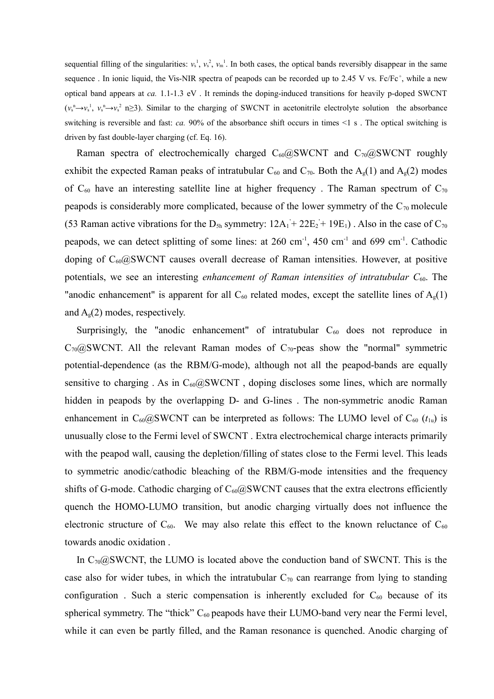sequential filling of the singularities:  $v_s^1$ ,  $v_s^2$ ,  $v_m^1$ . In both cases, the optical bands reversibly disappear in the same sequence. In ionic liquid, the Vis-NIR spectra of peapods can be recorded up to 2.45 V vs.  $Fc/Fc^+$ , while a new optical band appears at *ca.* 1.1-1.3 eV . It reminds the doping-induced transitions for heavily p-doped SWCNT  $(v_s^{\text{n}} \to v_s^{\text{n}}$ ,  $v_s^{\text{n}} \to v_s^{\text{2}}$  n $\geq$ 3). Similar to the charging of SWCNT in acetonitrile electrolyte solution the absorbance switching is reversible and fast: *ca*. 90% of the absorbance shift occurs in times <1 s. The optical switching is driven by fast double-layer charging (cf. Eq. 16).

Raman spectra of electrochemically charged  $C_{60}$ @SWCNT and  $C_{70}$ @SWCNT roughly exhibit the expected Raman peaks of intratubular  $C_{60}$  and  $C_{70}$ . Both the  $A_g(1)$  and  $A_g(2)$  modes of  $C_{60}$  have an interesting satellite line at higher frequency. The Raman spectrum of  $C_{70}$ peapods is considerably more complicated, because of the lower symmetry of the  $C_{70}$  molecule (53 Raman active vibrations for the  $D_{5h}$  symmetry:  $12A_1 + 22E_2 + 19E_1$ ). Also in the case of  $C_{70}$ peapods, we can detect splitting of some lines: at  $260 \text{ cm}^{-1}$ ,  $450 \text{ cm}^{-1}$  and  $699 \text{ cm}^{-1}$ . Cathodic doping of  $C_{60}$ @SWCNT causes overall decrease of Raman intensities. However, at positive potentials, we see an interesting *enhancement of Raman intensities of intratubular C*60. The "anodic enhancement" is apparent for all  $C_{60}$  related modes, except the satellite lines of  $A<sub>g</sub>(1)$ and  $A<sub>g</sub>(2)$  modes, respectively.

Surprisingly, the "anodic enhancement" of intratubular  $C_{60}$  does not reproduce in  $C_{70}$ @SWCNT. All the relevant Raman modes of  $C_{70}$ -peas show the "normal" symmetric potential-dependence (as the RBM/G-mode), although not all the peapod-bands are equally sensitive to charging . As in  $C_{60}QSWCNT$ , doping discloses some lines, which are normally hidden in peapods by the overlapping D- and G-lines . The non-symmetric anodic Raman enhancement in  $C_{60}$ @SWCNT can be interpreted as follows: The LUMO level of  $C_{60}$  ( $t_{1u}$ ) is unusually close to the Fermi level of SWCNT . Extra electrochemical charge interacts primarily with the peapod wall, causing the depletion/filling of states close to the Fermi level. This leads to symmetric anodic/cathodic bleaching of the RBM/G-mode intensities and the frequency shifts of G-mode. Cathodic charging of  $C_{60}QSWCNT$  causes that the extra electrons efficiently quench the HOMO-LUMO transition, but anodic charging virtually does not influence the electronic structure of  $C_{60}$ . We may also relate this effect to the known reluctance of  $C_{60}$ towards anodic oxidation .

In  $C_{70}$   $\omega$ SWCNT, the LUMO is located above the conduction band of SWCNT. This is the case also for wider tubes, in which the intratubular  $C_{70}$  can rearrange from lying to standing configuration. Such a steric compensation is inherently excluded for  $C_{60}$  because of its spherical symmetry. The "thick"  $C_{60}$  peapods have their LUMO-band very near the Fermi level, while it can even be partly filled, and the Raman resonance is quenched. Anodic charging of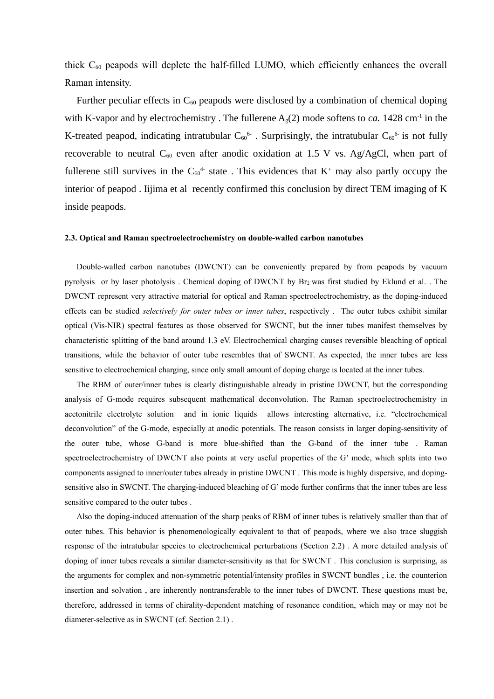thick  $C_{60}$  peapods will deplete the half-filled LUMO, which efficiently enhances the overall Raman intensity.

Further peculiar effects in  $C_{60}$  peapods were disclosed by a combination of chemical doping with K-vapor and by electrochemistry. The fullerene  $A_g(2)$  mode softens to *ca*. 1428 cm<sup>-1</sup> in the K-treated peapod, indicating intratubular  $C_{60}$ <sup>6</sup>. Surprisingly, the intratubular  $C_{60}$ <sup>6</sup> is not fully recoverable to neutral  $C_{60}$  even after anodic oxidation at 1.5 V vs. Ag/AgCl, when part of fullerene still survives in the  $C_{60}$ <sup>4</sup> state. This evidences that K<sup>+</sup> may also partly occupy the interior of peapod . Iijima et al recently confirmed this conclusion by direct TEM imaging of K inside peapods.

#### **2.3. Optical and Raman spectroelectrochemistry on double-walled carbon nanotubes**

Double-walled carbon nanotubes (DWCNT) can be conveniently prepared by from peapods by vacuum pyrolysis or by laser photolysis . Chemical doping of DWCNT by Br<sup>2</sup> was first studied by Eklund et al. . The DWCNT represent very attractive material for optical and Raman spectroelectrochemistry, as the doping-induced effects can be studied *selectively for outer tubes or inner tubes*, respectively . The outer tubes exhibit similar optical (Vis-NIR) spectral features as those observed for SWCNT, but the inner tubes manifest themselves by characteristic splitting of the band around 1.3 eV. Electrochemical charging causes reversible bleaching of optical transitions, while the behavior of outer tube resembles that of SWCNT. As expected, the inner tubes are less sensitive to electrochemical charging, since only small amount of doping charge is located at the inner tubes.

The RBM of outer/inner tubes is clearly distinguishable already in pristine DWCNT, but the corresponding analysis of G-mode requires subsequent mathematical deconvolution. The Raman spectroelectrochemistry in acetonitrile electrolyte solution and in ionic liquids allows interesting alternative, i.e. "electrochemical deconvolution" of the G-mode, especially at anodic potentials. The reason consists in larger doping-sensitivity of the outer tube, whose G-band is more blue-shifted than the G-band of the inner tube . Raman spectroelectrochemistry of DWCNT also points at very useful properties of the G' mode, which splits into two components assigned to inner/outer tubes already in pristine DWCNT . This mode is highly dispersive, and dopingsensitive also in SWCNT. The charging-induced bleaching of G' mode further confirms that the inner tubes are less sensitive compared to the outer tubes .

Also the doping-induced attenuation of the sharp peaks of RBM of inner tubes is relatively smaller than that of outer tubes. This behavior is phenomenologically equivalent to that of peapods, where we also trace sluggish response of the intratubular species to electrochemical perturbations (Section 2.2) . A more detailed analysis of doping of inner tubes reveals a similar diameter-sensitivity as that for SWCNT . This conclusion is surprising, as the arguments for complex and non-symmetric potential/intensity profiles in SWCNT bundles , i.e. the counterion insertion and solvation , are inherently nontransferable to the inner tubes of DWCNT. These questions must be, therefore, addressed in terms of chirality-dependent matching of resonance condition, which may or may not be diameter-selective as in SWCNT (cf. Section 2.1) .